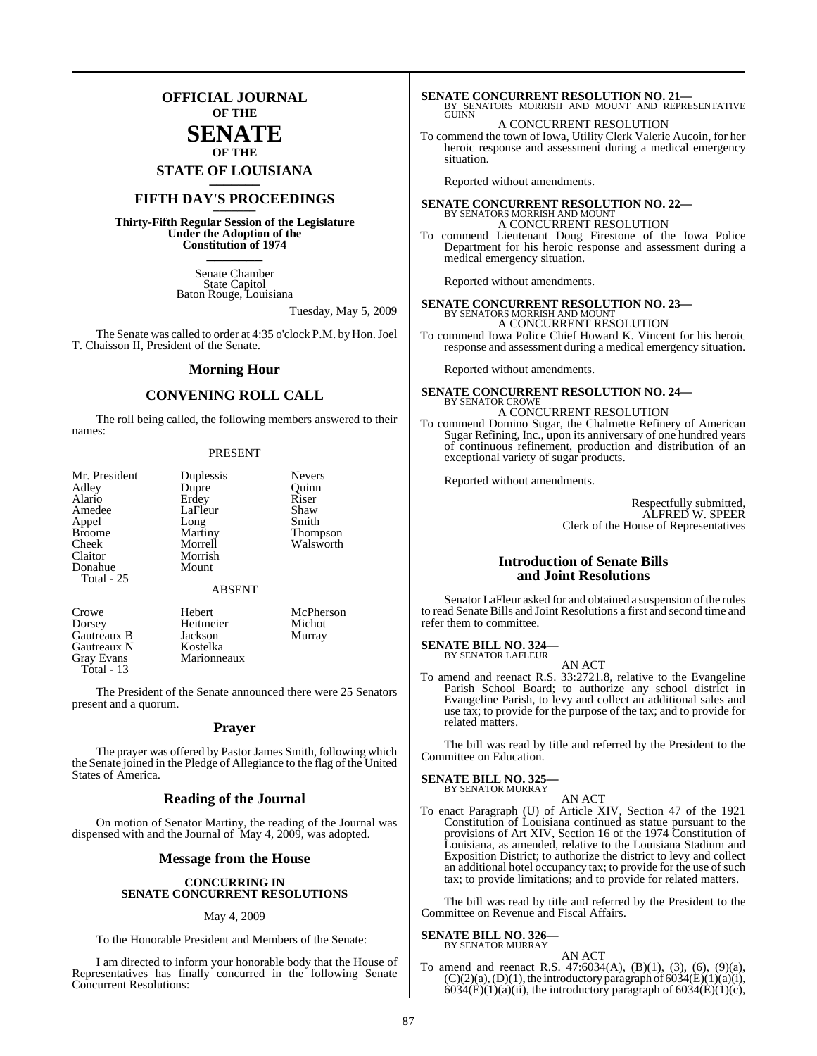## **OFFICIAL JOURNAL OF THE**

## **SENATE OF THE**

**STATE OF LOUISIANA \_\_\_\_\_\_\_**

## **FIFTH DAY'S PROCEEDINGS \_\_\_\_\_\_\_**

**Thirty-Fifth Regular Session of the Legislature Under the Adoption of the Constitution of 1974 \_\_\_\_\_\_\_**

> Senate Chamber State Capitol Baton Rouge, Louisiana

> > Tuesday, May 5, 2009

The Senate was called to order at 4:35 o'clock P.M. by Hon. Joel T. Chaisson II, President of the Senate.

#### **Morning Hour**

### **CONVENING ROLL CALL**

The roll being called, the following members answered to their names:

#### PRESENT

| Mr. President | Duplessis     | <b>Nevers</b> |
|---------------|---------------|---------------|
| Adley         | Dupre         | Ouinn         |
| Alario        | Erdey         | Riser         |
| Amedee        | LaFleur       | Shaw          |
| Appel         | Long          | Smith         |
| <b>Broome</b> | Martiny       | Thompson      |
| Cheek         | Morrell       | Walsworth     |
| Claitor       | Morrish       |               |
| Donahue       | Mount         |               |
| Total - 25    |               |               |
|               | <b>ABSENT</b> |               |
|               |               |               |

Crowe Hebert McPherson<br>
Dorsey Heitmeier Michot Heitmeier Gautreaux B Jackson Murray<br>Gautreaux N Kostelka Gautreaux N<br>Gray Evans **Marionneaux** Total - 13

The President of the Senate announced there were 25 Senators present and a quorum.

#### **Prayer**

The prayer was offered by Pastor James Smith, following which the Senate joined in the Pledge of Allegiance to the flag of the United States of America.

### **Reading of the Journal**

On motion of Senator Martiny, the reading of the Journal was dispensed with and the Journal of May 4, 2009, was adopted.

#### **Message from the House**

#### **CONCURRING IN SENATE CONCURRENT RESOLUTIONS**

#### May 4, 2009

To the Honorable President and Members of the Senate:

I am directed to inform your honorable body that the House of Representatives has finally concurred in the following Senate Concurrent Resolutions:

**SENATE CONCURRENT RESOLUTION NO. 21—**<br>BY SENATORS MORRISH AND MOUNT AND REPRESENTATIVE<br>GUINN

#### A CONCURRENT RESOLUTION

To commend the town of Iowa, Utility Clerk Valerie Aucoin, for her heroic response and assessment during a medical emergency situation.

Reported without amendments.

## **SENATE CONCURRENT RESOLUTION NO. 22—** BY SENATORS MORRISH AND MOUNT A CONCURRENT RESOLUTION

To commend Lieutenant Doug Firestone of the Iowa Police Department for his heroic response and assessment during a medical emergency situation.

Reported without amendments.

## **SENATE CONCURRENT RESOLUTION NO. 23—** BY SENATORS MORRISH AND MOUNT A CONCURRENT RESOLUTION

To commend Iowa Police Chief Howard K. Vincent for his heroic response and assessment during a medical emergency situation.

Reported without amendments.

**SENATE CONCURRENT RESOLUTION NO. 24—** BY SENATOR CROWE A CONCURRENT RESOLUTION

To commend Domino Sugar, the Chalmette Refinery of American Sugar Refining, Inc., upon its anniversary of one hundred years of continuous refinement, production and distribution of an exceptional variety of sugar products.

Reported without amendments.

Respectfully submitted, ALFRED W. SPEER Clerk of the House of Representatives

#### **Introduction of Senate Bills and Joint Resolutions**

Senator LaFleur asked for and obtained a suspension of the rules to read Senate Bills and Joint Resolutions a first and second time and refer them to committee.

**SENATE BILL NO. 324—** BY SENATOR LAFLEUR

AN ACT

To amend and reenact R.S. 33:2721.8, relative to the Evangeline Parish School Board; to authorize any school district in Evangeline Parish, to levy and collect an additional sales and use tax; to provide for the purpose of the tax; and to provide for related matters.

The bill was read by title and referred by the President to the Committee on Education.

#### **SENATE BILL NO. 325—** BY SENATOR MURRAY

AN ACT

To enact Paragraph (U) of Article XIV, Section 47 of the 1921 Constitution of Louisiana continued as statue pursuant to the provisions of Art XIV, Section 16 of the 1974 Constitution of Louisiana, as amended, relative to the Louisiana Stadium and Exposition District; to authorize the district to levy and collect an additional hotel occupancy tax; to provide for the use of such tax; to provide limitations; and to provide for related matters.

The bill was read by title and referred by the President to the Committee on Revenue and Fiscal Affairs.

#### **SENATE BILL NO. 326—** BY SENATOR MURRAY

AN ACT

To amend and reenact R.S. 47:6034(A), (B)(1), (3), (6), (9)(a),  $(C)(2)(a)$ ,  $(D)(1)$ , the introductory paragraph of 6034 $(E)(1)(a)(i)$ ,  $6034(E)(1)(a)(ii)$ , the introductory paragraph of  $6034(E)(1)(c)$ ,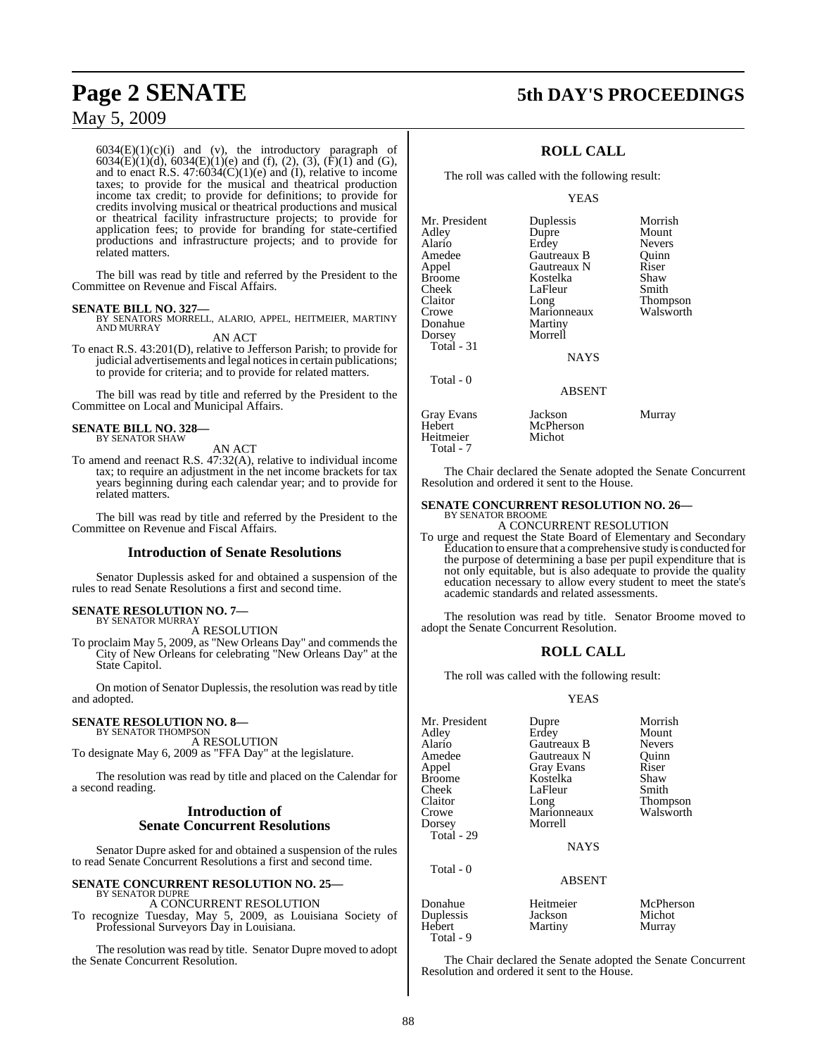$6034(E)(1)(c)(i)$  and (v), the introductory paragraph of 6034(E)(1)(d), 6034(E)(1)(e) and (f), (2), (3), (F)(1) and (G), and to enact R.S.  $47:6034(C)(1)(e)$  and (I), relative to income taxes; to provide for the musical and theatrical production income tax credit; to provide for definitions; to provide for credits involving musical or theatrical productions and musical or theatrical facility infrastructure projects; to provide for application fees; to provide for branding for state-certified productions and infrastructure projects; and to provide for related matters.

The bill was read by title and referred by the President to the Committee on Revenue and Fiscal Affairs.

#### **SENATE BILL NO. 327—**

BY SENATORS MORRELL, ALARIO, APPEL, HEITMEIER, MARTINY AND MURRAY AN ACT

To enact R.S. 43:201(D), relative to Jefferson Parish; to provide for judicial advertisements and legal notices in certain publications; to provide for criteria; and to provide for related matters.

The bill was read by title and referred by the President to the Committee on Local and Municipal Affairs.

#### **SENATE BILL NO. 328—** BY SENATOR SHAW

AN ACT

To amend and reenact R.S. 47:32(A), relative to individual income tax; to require an adjustment in the net income brackets for tax years beginning during each calendar year; and to provide for related matters.

The bill was read by title and referred by the President to the Committee on Revenue and Fiscal Affairs.

#### **Introduction of Senate Resolutions**

Senator Duplessis asked for and obtained a suspension of the rules to read Senate Resolutions a first and second time.

### **SENATE RESOLUTION NO. 7—**

BY SENATOR MURRAY A RESOLUTION

To proclaim May 5, 2009, as "New Orleans Day" and commends the City of New Orleans for celebrating "New Orleans Day" at the State Capitol.

On motion of Senator Duplessis, the resolution was read by title and adopted.

#### **SENATE RESOLUTION NO. 8—** BY SENATOR THOMPSON

A RESOLUTION

To designate May 6, 2009 as "FFA Day" at the legislature.

The resolution was read by title and placed on the Calendar for a second reading.

### **Introduction of Senate Concurrent Resolutions**

Senator Dupre asked for and obtained a suspension of the rules to read Senate Concurrent Resolutions a first and second time.

#### **SENATE CONCURRENT RESOLUTION NO. 25—**

BY SENATOR DUPRE A CONCURRENT RESOLUTION

To recognize Tuesday, May 5, 2009, as Louisiana Society of Professional Surveyors Day in Louisiana.

The resolution was read by title. Senator Dupre moved to adopt the Senate Concurrent Resolution.

## **Page 2 SENATE 5th DAY'S PROCEEDINGS**

## **ROLL CALL**

The roll was called with the following result:

#### YEAS

| Mr. President<br>Adley<br>Alario<br>Amedee<br>Appel<br>Broome<br>Cheek<br>Claitor<br>Crowe<br>Donahue<br>Dorsey<br>Total - 31 | Duplessis<br>Dupre<br>Erdey<br>Gautreaux B<br>Gautreaux N<br>Kostelka<br>LaFleur<br>Long<br>Marionneaux<br>Martiny<br>Morrell<br><b>NAYS</b> | Morrish<br>Mount<br><b>Nevers</b><br>Ouinn<br>Riser<br>Shaw<br>Smith<br>Thompson<br>Walsworth |
|-------------------------------------------------------------------------------------------------------------------------------|----------------------------------------------------------------------------------------------------------------------------------------------|-----------------------------------------------------------------------------------------------|
| Total - 0                                                                                                                     | <b>ABSENT</b>                                                                                                                                |                                                                                               |
| Gray Evans<br>Hebert<br>Heitmeier<br>Total - 7                                                                                | Jackson<br>McPherson<br>Michot                                                                                                               | Murray                                                                                        |

The Chair declared the Senate adopted the Senate Concurrent Resolution and ordered it sent to the House.

### **SENATE CONCURRENT RESOLUTION NO. 26—**

BY SENATOR BROOME A CONCURRENT RESOLUTION

To urge and request the State Board of Elementary and Secondary Education to ensure that a comprehensive study is conducted for the purpose of determining a base per pupil expenditure that is not only equitable, but is also adequate to provide the quality education necessary to allow every student to meet the state's academic standards and related assessments.

The resolution was read by title. Senator Broome moved to adopt the Senate Concurrent Resolution.

## **ROLL CALL**

The roll was called with the following result:

#### YEAS

| Mr. President<br>Adley<br>Alario<br>Amedee<br>Appel<br><b>Broome</b><br>Cheek<br>Claitor<br>Crowe<br>Dorsey<br>Total - 29 | Dupre<br>Erdey<br>Gautreaux B<br>Gautreaux N<br><b>Gray Evans</b><br>Kostelka<br>LaFleur<br>Long<br>Marionneaux<br>Morrell<br><b>NAYS</b> | Morrish<br>Mount<br><b>Nevers</b><br>Ouinn<br>Riser<br>Shaw<br>Smith<br>Thompson<br>Walsworth |
|---------------------------------------------------------------------------------------------------------------------------|-------------------------------------------------------------------------------------------------------------------------------------------|-----------------------------------------------------------------------------------------------|
| Total - 0                                                                                                                 | <b>ABSENT</b>                                                                                                                             |                                                                                               |
| Donahue<br>Duplessis<br>Hebert                                                                                            | Heitmeier<br>Jackson<br>Martiny                                                                                                           | McPherson<br>Michot<br>Murrav                                                                 |

Hebert Martiny

Total - 9

The Chair declared the Senate adopted the Senate Concurrent Resolution and ordered it sent to the House.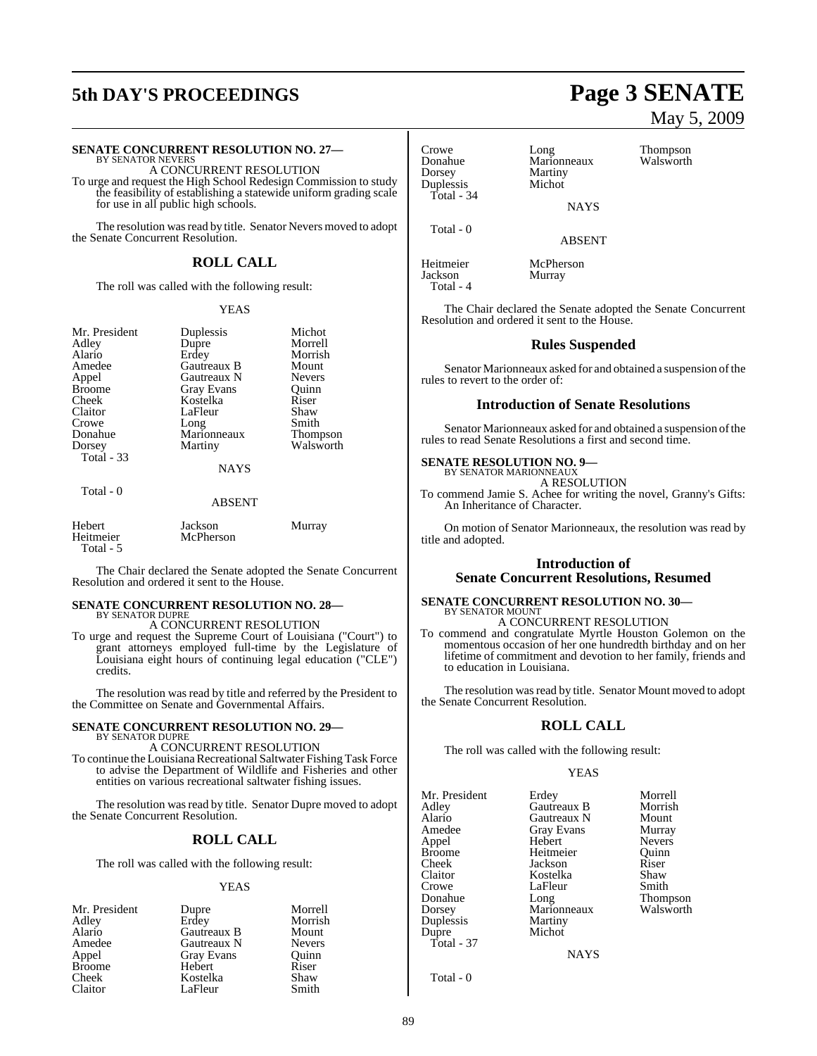# **5th DAY'S PROCEEDINGS Page 3 SENATE**

#### **SENATE CONCURRENT RESOLUTION NO. 27—**

BY SENATOR NEVERS A CONCURRENT RESOLUTION

To urge and request the High School Redesign Commission to study the feasibility of establishing a statewide uniform grading scale for use in all public high schools.

The resolution was read by title. Senator Nevers moved to adopt the Senate Concurrent Resolution.

## **ROLL CALL**

The roll was called with the following result:

#### YEAS

Michot Morrell Morrish Mount Nevers<sup>1</sup> Quinn<br>Riser

Thompson Walsworth

| Mr. President<br>Adlev<br>Alario<br>Amedee<br>Appel | Duplessis<br>Dupre<br>Erdey<br>Gautreaux B<br>Gautreaux N<br><b>Gray Evans</b> | Micho<br>Morre<br>Morri<br>Moun<br>Never<br>Ouinn |
|-----------------------------------------------------|--------------------------------------------------------------------------------|---------------------------------------------------|
|                                                     |                                                                                |                                                   |
|                                                     |                                                                                |                                                   |
|                                                     |                                                                                |                                                   |
| Broome                                              |                                                                                |                                                   |
| Cheek                                               | Kostelka                                                                       | Riser                                             |
| Claitor                                             | LaFleur                                                                        | Shaw                                              |
| Crowe                                               | Long                                                                           | Smith                                             |
| Donahue                                             | Marionneaux                                                                    | Thom                                              |
| Dorsey<br>Total - 33                                | Martiny                                                                        | Walsy                                             |
|                                                     | <b>NAYS</b>                                                                    |                                                   |
| Total - 0                                           |                                                                                |                                                   |

## ABSENT

| Hebert    | Jackson   | Murray |
|-----------|-----------|--------|
| Heitmeier | McPherson |        |
| Total - 5 |           |        |

The Chair declared the Senate adopted the Senate Concurrent Resolution and ordered it sent to the House.

## **SENATE CONCURRENT RESOLUTION NO. 28—** BY SENATOR DUPRE A CONCURRENT RESOLUTION

To urge and request the Supreme Court of Louisiana ("Court") to grant attorneys employed full-time by the Legislature of Louisiana eight hours of continuing legal education ("CLE") credits.

The resolution was read by title and referred by the President to the Committee on Senate and Governmental Affairs.

#### **SENATE CONCURRENT RESOLUTION NO. 29—** BY SENATOR DUPRE

A CONCURRENT RESOLUTION

To continue the Louisiana Recreational Saltwater Fishing Task Force to advise the Department of Wildlife and Fisheries and other entities on various recreational saltwater fishing issues.

The resolution was read by title. Senator Dupre moved to adopt the Senate Concurrent Resolution.

## **ROLL CALL**

The roll was called with the following result:

#### YEAS

| Morrell<br>Dupre             |
|------------------------------|
| Erdey<br>Morrish             |
| Gautreaux B<br>Mount         |
| Gautreaux N<br><b>Nevers</b> |
| <b>Gray Evans</b><br>Ouinn   |
| Riser<br>Hebert              |
| Kostelka<br>Shaw             |
| Smith<br>LaFleur             |
|                              |

Crowe Long Thompson Donahue Marionneaux Walsworth Dorsey Martiny<br>
Duplessis Michot Duplessis Total - 34

Total - 0

Total - 4

**NAYS** 

ABSENT

Heitmeier McPherson Murray

The Chair declared the Senate adopted the Senate Concurrent Resolution and ordered it sent to the House.

#### **Rules Suspended**

Senator Marionneaux asked for and obtained a suspension of the rules to revert to the order of:

#### **Introduction of Senate Resolutions**

Senator Marionneaux asked for and obtained a suspension of the rules to read Senate Resolutions a first and second time.

#### **SENATE RESOLUTION NO. 9—** BY SENATOR MARIONNEAUX

A RESOLUTION

To commend Jamie S. Achee for writing the novel, Granny's Gifts: An Inheritance of Character.

On motion of Senator Marionneaux, the resolution was read by title and adopted.

### **Introduction of Senate Concurrent Resolutions, Resumed**

## **SENATE CONCURRENT RESOLUTION NO. 30—** BY SENATOR MOUNT A CONCURRENT RESOLUTION

To commend and congratulate Myrtle Houston Golemon on the momentous occasion of her one hundredth birthday and on her lifetime of commitment and devotion to her family, friends and to education in Louisiana.

The resolution was read by title. Senator Mount moved to adopt the Senate Concurrent Resolution.

### **ROLL CALL**

The roll was called with the following result:

#### YEAS

Mr. President Erdey Morrell<br>Adley Gautreaux B Morrish Adley Gautreaux B Morris<br>Alario Gautreaux N Mount Alario Gautreaux N Mount<br>Amedee Gray Evans Murray Amedee Gray Evans Murray<br>Appel Hebert Nevers Appel Hebert Nevers Broome Heitmeier Quinn<br>Cheek Jackson Riser Cheek Jackson Riser Claitor Kostelka Shaw Crowe LaFleur Smith<br>Donahue Long Thompson Donahue Long Thompson Dorsey Marionneaux Walsworth Duplessis Martiny<br>
Dupre Michot Total - 37

Michot

**NAYS** 

Total - 0

89

# May 5, 2009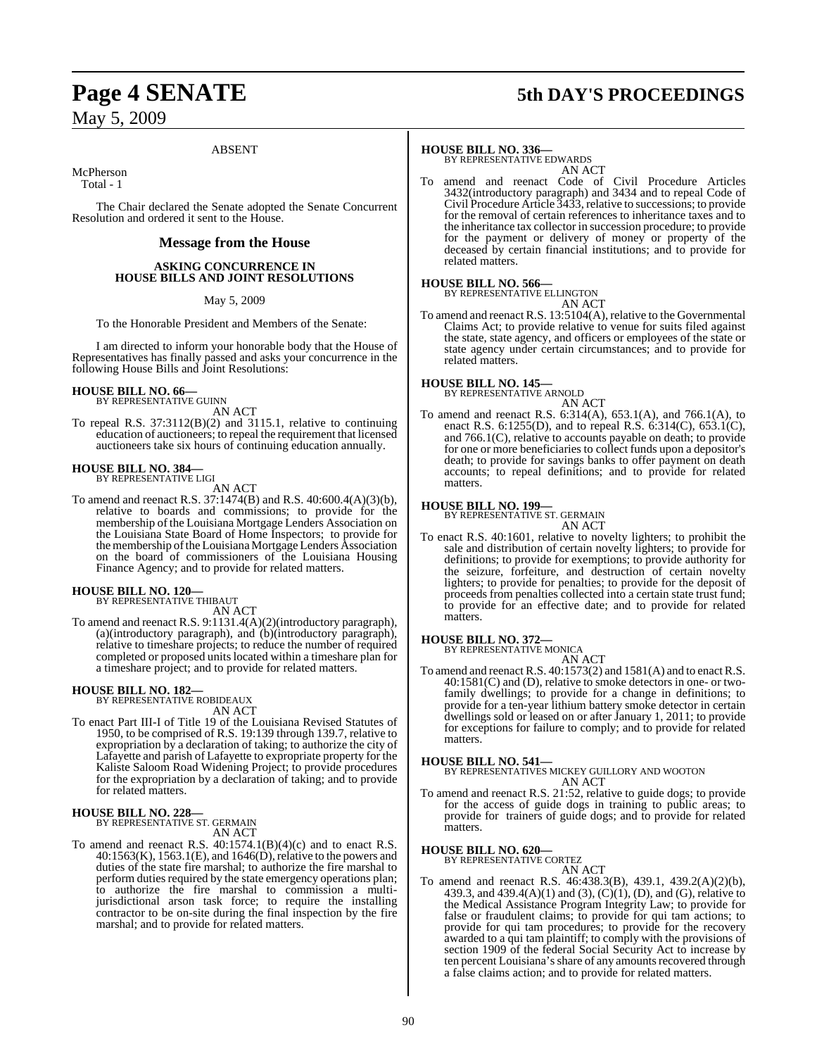## **Page 4 SENATE 5th DAY'S PROCEEDINGS**

May 5, 2009

#### ABSENT

McPherson

Total - 1

The Chair declared the Senate adopted the Senate Concurrent Resolution and ordered it sent to the House.

#### **Message from the House**

#### **ASKING CONCURRENCE IN HOUSE BILLS AND JOINT RESOLUTIONS**

May 5, 2009

To the Honorable President and Members of the Senate:

I am directed to inform your honorable body that the House of Representatives has finally passed and asks your concurrence in the following House Bills and Joint Resolutions:

#### **HOUSE BILL NO. 66—**

BY REPRESENTATIVE GUINN AN ACT

To repeal R.S. 37:3112(B)(2) and 3115.1, relative to continuing education of auctioneers; to repeal the requirement that licensed auctioneers take six hours of continuing education annually.

# **HOUSE BILL NO. 384—** BY REPRESENTATIVE LIGI

AN ACT

To amend and reenact R.S. 37:1474(B) and R.S. 40:600.4(A)(3)(b), relative to boards and commissions; to provide for the membership of the Louisiana Mortgage Lenders Association on the Louisiana State Board of Home Inspectors; to provide for the membership ofthe Louisiana Mortgage Lenders Association on the board of commissioners of the Louisiana Housing Finance Agency; and to provide for related matters.

### **HOUSE BILL NO. 120—**

BY REPRESENTATIVE THIBAUT AN ACT

To amend and reenact R.S. 9:1131.4(A)(2)(introductory paragraph), (a)(introductory paragraph), and (b)(introductory paragraph), relative to timeshare projects; to reduce the number of required completed or proposed unitslocated within a timeshare plan for a timeshare project; and to provide for related matters.

## **HOUSE BILL NO. 182—** BY REPRESENTATIVE ROBIDEAUX

AN ACT

To enact Part III-I of Title 19 of the Louisiana Revised Statutes of 1950, to be comprised of R.S. 19:139 through 139.7, relative to expropriation by a declaration of taking; to authorize the city of Lafayette and parish of Lafayette to expropriate property for the Kaliste Saloom Road Widening Project; to provide procedures for the expropriation by a declaration of taking; and to provide for related matters.

#### **HOUSE BILL NO. 228—**

BY REPRESENTATIVE ST. GERMAIN AN ACT

To amend and reenact R.S. 40:1574.1(B)(4)(c) and to enact R.S.  $40:1563(K), 1563.1(E),$  and  $1646(D),$  relative to the powers and duties of the state fire marshal; to authorize the fire marshal to perform duties required by the state emergency operations plan; to authorize the fire marshal to commission a multijurisdictional arson task force; to require the installing contractor to be on-site during the final inspection by the fire marshal; and to provide for related matters.

**HOUSE BILL NO. 336—** BY REPRESENTATIVE EDWARDS AN ACT

To amend and reenact Code of Civil Procedure Articles 3432(introductory paragraph) and 3434 and to repeal Code of Civil Procedure Article 3433, relative to successions; to provide for the removal of certain references to inheritance taxes and to the inheritance tax collector in succession procedure; to provide for the payment or delivery of money or property of the deceased by certain financial institutions; and to provide for related matters.

#### **HOUSE BILL NO. 566—**

BY REPRESENTATIVE ELLINGTON AN ACT

To amend and reenact R.S. 13:5104(A), relative to the Governmental Claims Act; to provide relative to venue for suits filed against the state, state agency, and officers or employees of the state or state agency under certain circumstances; and to provide for related matters.

#### **HOUSE BILL NO. 145—** BY REPRESENTATIVE ARNOLD

AN ACT

To amend and reenact R.S. 6:314(A), 653.1(A), and 766.1(A), to enact R.S. 6:1255(D), and to repeal R.S. 6:314(C), 653.1(C), and 766.1(C), relative to accounts payable on death; to provide for one or more beneficiaries to collect funds upon a depositor's death; to provide for savings banks to offer payment on death accounts; to repeal definitions; and to provide for related matters.

### **HOUSE BILL NO. 199—**

BY REPRESENTATIVE ST. GERMAIN AN ACT

To enact R.S. 40:1601, relative to novelty lighters; to prohibit the sale and distribution of certain novelty lighters; to provide for definitions; to provide for exemptions; to provide authority for the seizure, forfeiture, and destruction of certain novelty lighters; to provide for penalties; to provide for the deposit of proceeds from penalties collected into a certain state trust fund; to provide for an effective date; and to provide for related matters.

## **HOUSE BILL NO. 372—** BY REPRESENTATIVE MONICA

AN ACT

To amend and reenact R.S.  $40:1573(2)$  and  $1581(A)$  and to enact R.S. 40:1581(C) and (D), relative to smoke detectors in one- or twofamily dwellings; to provide for a change in definitions; to provide for a ten-year lithium battery smoke detector in certain dwellings sold or leased on or after January 1, 2011; to provide for exceptions for failure to comply; and to provide for related matters.

**HOUSE BILL NO. 541—** BY REPRESENTATIVES MICKEY GUILLORY AND WOOTON AN ACT

To amend and reenact R.S. 21:52, relative to guide dogs; to provide for the access of guide dogs in training to public areas; to provide for trainers of guide dogs; and to provide for related matters.

## **HOUSE BILL NO. 620—** BY REPRESENTATIVE CORTEZ

AN ACT To amend and reenact R.S. 46:438.3(B), 439.1, 439.2(A)(2)(b), 439.3, and 439.4(A)(1) and (3), (C)(1), (D), and (G), relative to the Medical Assistance Program Integrity Law; to provide for false or fraudulent claims; to provide for qui tam actions; to provide for qui tam procedures; to provide for the recovery awarded to a qui tam plaintiff; to comply with the provisions of section 1909 of the federal Social Security Act to increase by ten percent Louisiana's share of any amounts recovered through a false claims action; and to provide for related matters.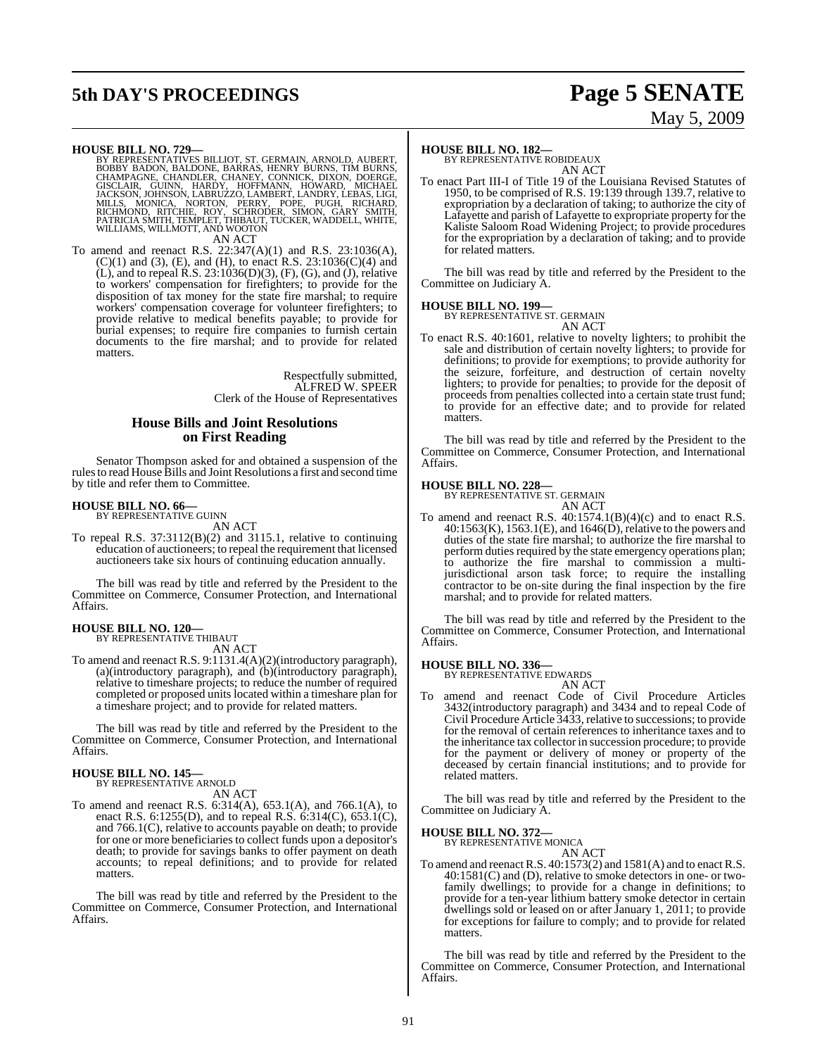# **5th DAY'S PROCEEDINGS Page 5 SENATE**

# May 5, 2009

**HOUSE BILL NO. 729—**<br>BY REPRESENTATIVES BILLIOT, ST. GERMAIN, ARNOLD, AUBERT, BOBBY BADON, BALDONE, BARRAS, HENRY BURNS, CHAMPAGNE, CHANDLER, CHANEY, CONNICK, DIXON, DOERGE, GISCLAIR, GUINN, HARDY, HOFFMANN, HOWARD, MICHA

AN ACT

To amend and reenact R.S. 22:347(A)(1) and R.S. 23:1036(A), (C)(1) and (3), (E), and (H), to enact R.S. 23:1036(C)(4) and  $(L)$ , and to repeal R.S. 23:1036(D)(3), (F), (G), and (J), relative to workers' compensation for firefighters; to provide for the disposition of tax money for the state fire marshal; to require workers' compensation coverage for volunteer firefighters; to provide relative to medical benefits payable; to provide for burial expenses; to require fire companies to furnish certain documents to the fire marshal; and to provide for related matters.

> Respectfully submitted, ALFRED W. SPEER Clerk of the House of Representatives

#### **House Bills and Joint Resolutions on First Reading**

Senator Thompson asked for and obtained a suspension of the rulesto read House Bills and Joint Resolutions a first and second time by title and refer them to Committee.

#### **HOUSE BILL NO. 66—**

BY REPRESENTATIVE GUINN AN ACT

To repeal R.S. 37:3112(B)(2) and 3115.1, relative to continuing education of auctioneers; to repeal the requirement that licensed auctioneers take six hours of continuing education annually.

The bill was read by title and referred by the President to the Committee on Commerce, Consumer Protection, and International Affairs.

## **HOUSE BILL NO. 120—** BY REPRESENTATIVE THIBAUT

AN ACT

To amend and reenact R.S. 9:1131.4(A)(2)(introductory paragraph), (a)(introductory paragraph), and (b)(introductory paragraph), relative to timeshare projects; to reduce the number of required completed or proposed units located within a timeshare plan for a timeshare project; and to provide for related matters.

The bill was read by title and referred by the President to the Committee on Commerce, Consumer Protection, and International Affairs.

#### **HOUSE BILL NO. 145—**

BY REPRESENTATIVE ARNOLD AN ACT

To amend and reenact R.S. 6:314(A), 653.1(A), and 766.1(A), to enact R.S. 6:1255(D), and to repeal R.S. 6:314(C), 653.1(C), and 766.1(C), relative to accounts payable on death; to provide for one or more beneficiaries to collect funds upon a depositor's death; to provide for savings banks to offer payment on death accounts; to repeal definitions; and to provide for related matters.

The bill was read by title and referred by the President to the Committee on Commerce, Consumer Protection, and International Affairs.

#### **HOUSE BILL NO. 182—**

BY REPRESENTATIVE ROBIDEAUX AN ACT

To enact Part III-I of Title 19 of the Louisiana Revised Statutes of 1950, to be comprised of R.S. 19:139 through 139.7, relative to expropriation by a declaration of taking; to authorize the city of Lafayette and parish of Lafayette to expropriate property for the Kaliste Saloom Road Widening Project; to provide procedures for the expropriation by a declaration of taking; and to provide for related matters.

The bill was read by title and referred by the President to the Committee on Judiciary A.

#### **HOUSE BILL NO. 199—**

BY REPRESENTATIVE ST. GERMAIN AN ACT

To enact R.S. 40:1601, relative to novelty lighters; to prohibit the sale and distribution of certain novelty lighters; to provide for definitions; to provide for exemptions; to provide authority for the seizure, forfeiture, and destruction of certain novelty lighters; to provide for penalties; to provide for the deposit of proceeds from penalties collected into a certain state trust fund; to provide for an effective date; and to provide for related matters.

The bill was read by title and referred by the President to the Committee on Commerce, Consumer Protection, and International Affairs.

#### **HOUSE BILL NO. 228—**

BY REPRESENTATIVE ST. GERMAIN AN ACT

To amend and reenact R.S.  $40:1574.1(B)(4)(c)$  and to enact R.S. 40:1563(K), 1563.1(E), and 1646(D), relative to the powers and duties of the state fire marshal; to authorize the fire marshal to perform duties required by the state emergency operations plan; to authorize the fire marshal to commission a multijurisdictional arson task force; to require the installing contractor to be on-site during the final inspection by the fire marshal; and to provide for related matters.

The bill was read by title and referred by the President to the Committee on Commerce, Consumer Protection, and International Affairs.

**HOUSE BILL NO. 336—**

BY REPRESENTATIVE EDWARDS

- AN ACT
- To amend and reenact Code of Civil Procedure Articles 3432(introductory paragraph) and 3434 and to repeal Code of Civil Procedure Article 3433, relative to successions; to provide for the removal of certain references to inheritance taxes and to the inheritance tax collector in succession procedure; to provide for the payment or delivery of money or property of the deceased by certain financial institutions; and to provide for related matters.

The bill was read by title and referred by the President to the Committee on Judiciary A.

## **HOUSE BILL NO. 372—** BY REPRESENTATIVE MONICA

AN ACT

To amend and reenact R.S.  $40:1573(2)$  and  $1581(A)$  and to enact R.S. 40:1581(C) and (D), relative to smoke detectors in one- or twofamily dwellings; to provide for a change in definitions; to provide for a ten-year lithium battery smoke detector in certain dwellings sold or leased on or after January 1, 2011; to provide for exceptions for failure to comply; and to provide for related matters.

The bill was read by title and referred by the President to the Committee on Commerce, Consumer Protection, and International Affairs.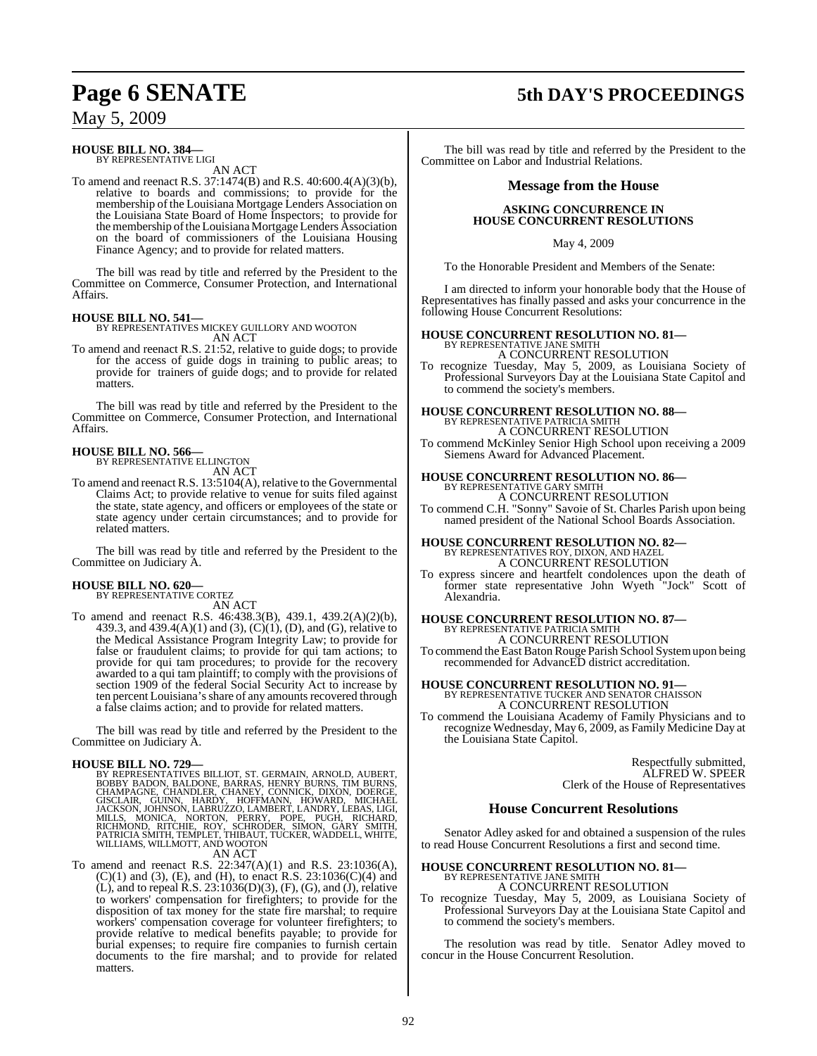## **Page 6 SENATE 5th DAY'S PROCEEDINGS**

## May 5, 2009

#### **HOUSE BILL NO. 384—** BY REPRESENTATIVE LIGI

AN ACT

To amend and reenact R.S. 37:1474(B) and R.S. 40:600.4(A)(3)(b), relative to boards and commissions; to provide for the membership of the Louisiana Mortgage Lenders Association on the Louisiana State Board of Home Inspectors; to provide for the membership of the Louisiana Mortgage Lenders Association on the board of commissioners of the Louisiana Housing Finance Agency; and to provide for related matters.

The bill was read by title and referred by the President to the Committee on Commerce, Consumer Protection, and International Affairs.

#### **HOUSE BILL NO. 541—**

BY REPRESENTATIVES MICKEY GUILLORY AND WOOTON AN ACT

To amend and reenact R.S. 21:52, relative to guide dogs; to provide for the access of guide dogs in training to public areas; to provide for trainers of guide dogs; and to provide for related matters.

The bill was read by title and referred by the President to the Committee on Commerce, Consumer Protection, and International Affairs.

## **HOUSE BILL NO. 566—** BY REPRESENTATIVE ELLINGTON

AN ACT

To amend and reenact R.S. 13:5104(A), relative to the Governmental Claims Act; to provide relative to venue for suits filed against the state, state agency, and officers or employees of the state or state agency under certain circumstances; and to provide for related matters.

The bill was read by title and referred by the President to the Committee on Judiciary A.

## **HOUSE BILL NO. 620—** BY REPRESENTATIVE CORTEZ

AN ACT

To amend and reenact R.S. 46:438.3(B), 439.1, 439.2(A)(2)(b), 439.3, and 439.4(A)(1) and (3), (C)(1), (D), and (G), relative to the Medical Assistance Program Integrity Law; to provide for false or fraudulent claims; to provide for qui tam actions; to provide for qui tam procedures; to provide for the recovery awarded to a qui tam plaintiff; to comply with the provisions of section 1909 of the federal Social Security Act to increase by ten percent Louisiana's share of any amounts recovered through a false claims action; and to provide for related matters.

The bill was read by title and referred by the President to the Committee on Judiciary A.

**HOUSE BILL NO. 729—**<br>BY REPRESENTATIVES BILLIOT, ST. GERMAIN, ARNOLD, AUBERT, BOBBY BADON, BALDONE, BARRAS, HENRY BURNS, CHAMPAGNE, CHANDLER, CHANEY, CONNICK, DIXON, DOERGE, GISCLAIR, GUINN, HARDY, HOFFMANN, HOWARD, MICHA

AN ACT<br>To amend and reenact R.S.  $22:347(A)(1)$  and R.S.  $23:1036(A)$ ,  $(C)(1)$  and  $(3)$ ,  $(E)$ , and  $(H)$ , to enact R.S. 23:1036 $(C)(4)$  and (L), and to repeal R.S. 23:1036(D)(3), (F), (G), and (J), relative to workers' compensation for firefighters; to provide for the disposition of tax money for the state fire marshal; to require workers' compensation coverage for volunteer firefighters; to provide relative to medical benefits payable; to provide for burial expenses; to require fire companies to furnish certain documents to the fire marshal; and to provide for related matters.

The bill was read by title and referred by the President to the Committee on Labor and Industrial Relations.

#### **Message from the House**

#### **ASKING CONCURRENCE IN HOUSE CONCURRENT RESOLUTIONS**

May 4, 2009

To the Honorable President and Members of the Senate:

I am directed to inform your honorable body that the House of Representatives has finally passed and asks your concurrence in the following House Concurrent Resolutions:

#### **HOUSE CONCURRENT RESOLUTION NO. 81—**

BY REPRESENTATIVE JANE SMITH A CONCURRENT RESOLUTION

To recognize Tuesday, May 5, 2009, as Louisiana Society of Professional Surveyors Day at the Louisiana State Capitol and to commend the society's members.

# **HOUSE CONCURRENT RESOLUTION NO. 88—** BY REPRESENTATIVE PATRICIA SMITH

A CONCURRENT RESOLUTION

To commend McKinley Senior High School upon receiving a 2009 Siemens Award for Advanced Placement.

# **HOUSE CONCURRENT RESOLUTION NO. 86—** BY REPRESENTATIVE GARY SMITH A CONCURRENT RESOLUTION

To commend C.H. "Sonny" Savoie of St. Charles Parish upon being named president of the National School Boards Association.

## **HOUSE CONCURRENT RESOLUTION NO. 82—** BY REPRESENTATIVES ROY, DIXON, AND HAZEL A CONCURRENT RESOLUTION

To express sincere and heartfelt condolences upon the death of former state representative John Wyeth "Jock" Scott of Alexandria.

## **HOUSE CONCURRENT RESOLUTION NO. 87—** BY REPRESENTATIVE PATRICIA SMITH

A CONCURRENT RESOLUTION

To commend the East Baton Rouge Parish School System upon being recommended for AdvancED district accreditation.

#### **HOUSE CONCURRENT RESOLUTION NO. 91—**

BY REPRESENTATIVE TUCKER AND SENATOR CHAISSON A CONCURRENT RESOLUTION

To commend the Louisiana Academy of Family Physicians and to recognize Wednesday, May 6, 2009, as Family Medicine Day at the Louisiana State Capitol.

> Respectfully submitted, ALFRED W. SPEER Clerk of the House of Representatives

#### **House Concurrent Resolutions**

Senator Adley asked for and obtained a suspension of the rules to read House Concurrent Resolutions a first and second time.

#### **HOUSE CONCURRENT RESOLUTION NO. 81—** BY REPRESENTATIVE JANE SMITH A CONCURRENT RESOLUTION

To recognize Tuesday, May 5, 2009, as Louisiana Society of

Professional Surveyors Day at the Louisiana State Capitol and to commend the society's members.

The resolution was read by title. Senator Adley moved to concur in the House Concurrent Resolution.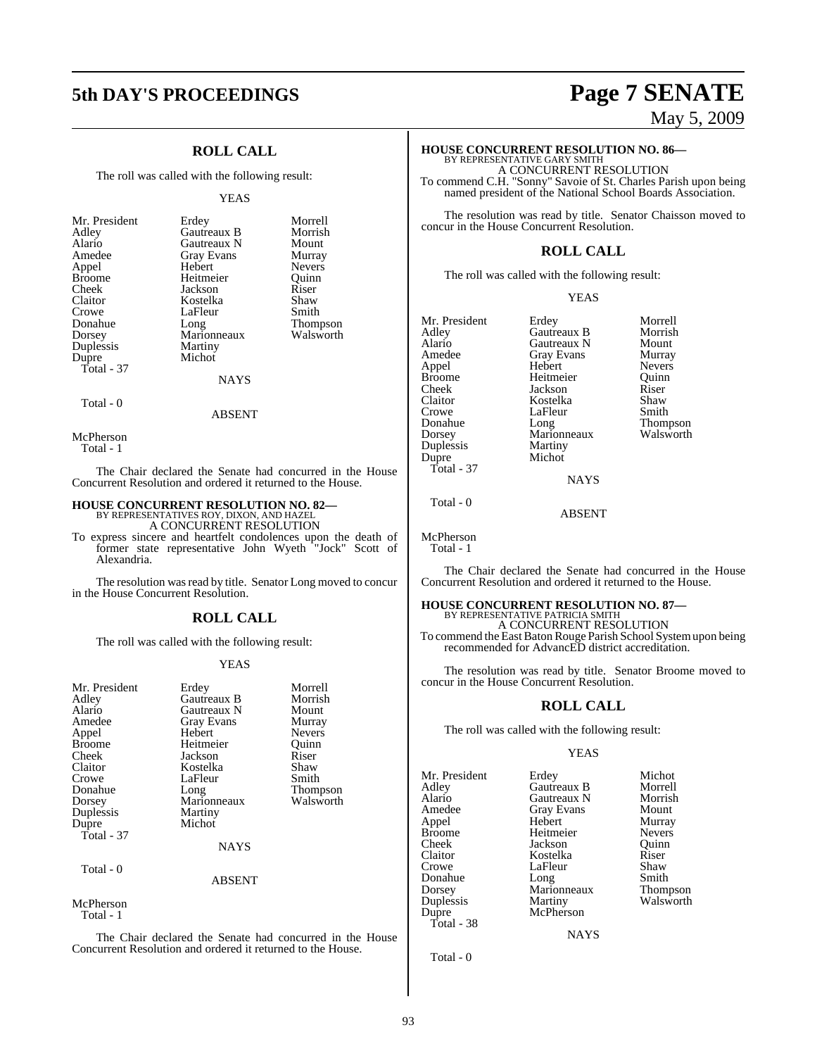# **5th DAY'S PROCEEDINGS Page 7 SENATE**

## **ROLL CALL**

The roll was called with the following result:

#### YEAS

| Michot<br>Dupre<br>Total - 37<br><b>NAYS</b> |
|----------------------------------------------|
|----------------------------------------------|

## ABSENT

McPherson

Total - 0

Total - 1

The Chair declared the Senate had concurred in the House Concurrent Resolution and ordered it returned to the House.

#### **HOUSE CONCURRENT RESOLUTION NO. 82—**

BY REPRESENTATIVES ROY, DIXON, AND HAZEL A CONCURRENT RESOLUTION

To express sincere and heartfelt condolences upon the death of former state representative John Wyeth "Jock" Scott of Alexandria.

The resolution was read by title. Senator Long moved to concur in the House Concurrent Resolution.

#### **ROLL CALL**

The roll was called with the following result:

#### YEAS

| Mr. President<br>Adley<br>Alario<br>Amedee<br>Appel<br><b>Broome</b><br>Cheek<br>Claitor<br>Crowe<br>Donahue<br>Dorsey<br>Duplessis<br>Dupre<br>Total - $37$<br>Total - 0 | Erdey<br>Gautreaux B<br>Gautreaux N<br>Gray Evans<br>Hebert<br>Heitmeier<br>Jackson<br>Kostelka<br>LaFleur<br>Long<br>Marionneaux<br>Martiny<br>Michot<br><b>NAYS</b> | Morrell<br>Morrish<br>Mount<br>Murray<br><b>Nevers</b><br>Ouinn<br>Riser<br>Shaw<br>Smith<br><b>Thompson</b><br>Walsworth |
|---------------------------------------------------------------------------------------------------------------------------------------------------------------------------|-----------------------------------------------------------------------------------------------------------------------------------------------------------------------|---------------------------------------------------------------------------------------------------------------------------|
|                                                                                                                                                                           | <b>ABSENT</b>                                                                                                                                                         |                                                                                                                           |
| McPherson                                                                                                                                                                 |                                                                                                                                                                       |                                                                                                                           |

Total - 1

The Chair declared the Senate had concurred in the House Concurrent Resolution and ordered it returned to the House.

# May 5, 2009

# **HOUSE CONCURRENT RESOLUTION NO. 86—** BY REPRESENTATIVE GARY SMITH A CONCURRENT RESOLUTION

To commend C.H. "Sonny" Savoie of St. Charles Parish upon being named president of the National School Boards Association.

The resolution was read by title. Senator Chaisson moved to concur in the House Concurrent Resolution.

#### **ROLL CALL**

The roll was called with the following result:

#### YEAS

| Mr. President<br>Adley<br>Alario<br>Amedee<br>Appel<br><b>Broome</b><br>Cheek<br>Claitor<br>Crowe<br>Donahue<br>Dorsey<br>Duplessis | Erdey<br>Gautreaux B<br>Gautreaux N<br><b>Gray Evans</b><br>Hebert<br>Heitmeier<br>Jackson<br>Kostelka<br>LaFleur<br>Long<br>Marionneaux<br>Martiny<br>Michot | Morrell<br>Morrish<br>Mount<br>Murray<br><b>Nevers</b><br>Ouinn<br>Riser<br>Shaw<br>Smith<br><b>Thomps</b><br>Walswo |
|-------------------------------------------------------------------------------------------------------------------------------------|---------------------------------------------------------------------------------------------------------------------------------------------------------------|----------------------------------------------------------------------------------------------------------------------|
|                                                                                                                                     |                                                                                                                                                               |                                                                                                                      |
| Dupre                                                                                                                               |                                                                                                                                                               |                                                                                                                      |
| Total - 37                                                                                                                          |                                                                                                                                                               |                                                                                                                      |

Hebert Nevers<br>
Heitmeier Ouinn Jackson Riser<br>Kostelka Shaw Kostelka Shaw<br>LaFleur Smith Thompson<br>Walsworth

**NAYS** 

ABSENT

McPherson Total - 1

Total - 0

The Chair declared the Senate had concurred in the House Concurrent Resolution and ordered it returned to the House.

### **HOUSE CONCURRENT RESOLUTION NO. 87—**

BY REPRESENTATIVE PATRICIA SMITH A CONCURRENT RESOLUTION To commend the East Baton Rouge Parish School System upon being recommended for AdvancED district accreditation.

The resolution was read by title. Senator Broome moved to concur in the House Concurrent Resolution.

### **ROLL CALL**

The roll was called with the following result:

#### YEAS

Mr. President Erdey Michot<br>Adley Gautreaux B Morrell Adley Gautreaux B Morrell Alario Gautreaux N Morrish Appel Broome Heitmeier Nevers<br>
Cheek Jackson Ouinn Cheek Jackson Quinn Claitor Kostelka Riser Donahue Long Smith<br>Dorsey Marionneaux Thompson Dorsey Marionneaux<br>
Duplessis Martiny Duplessis Martiny Walsworth Total - 38

Gray Evans Mount<br>
Hebert Murray LaFleur Shaw<br>Long Smith McPherson

**NAYS** 

Total - 0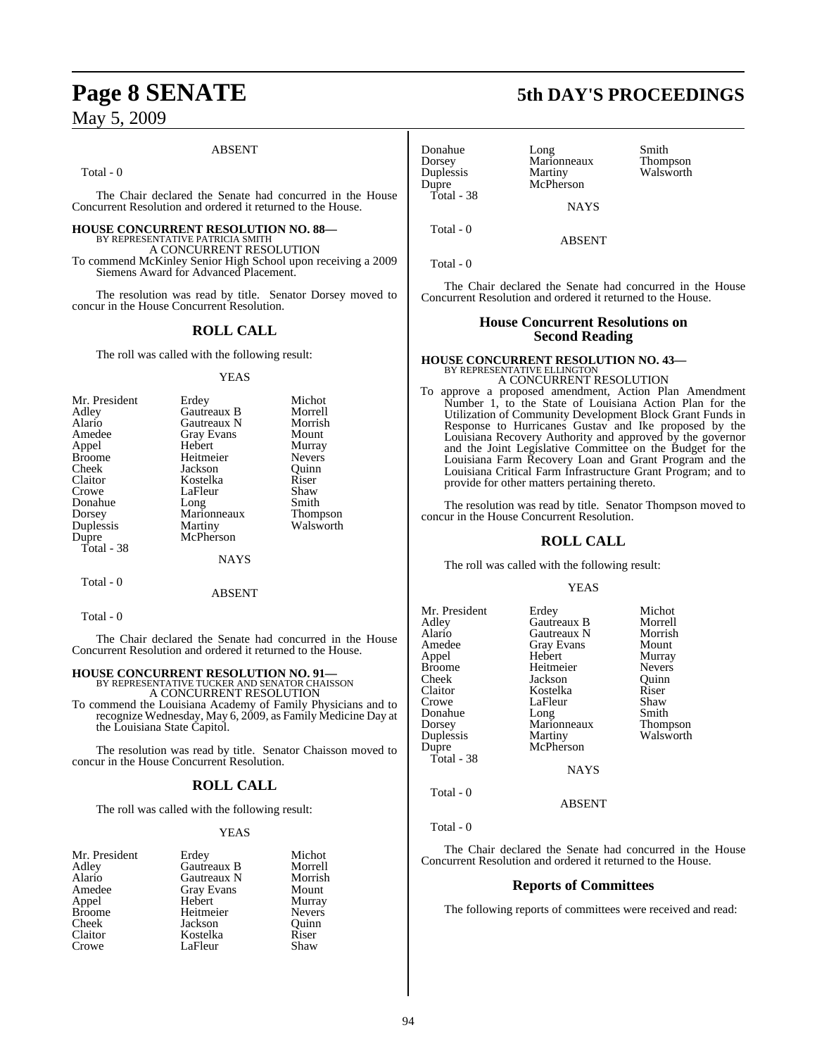#### ABSENT

Total - 0

The Chair declared the Senate had concurred in the House Concurrent Resolution and ordered it returned to the House.

#### **HOUSE CONCURRENT RESOLUTION NO. 88—**

BY REPRESENTATIVE PATRICIA SMITH A CONCURRENT RESOLUTION

To commend McKinley Senior High School upon receiving a 2009 Siemens Award for Advanced Placement.

The resolution was read by title. Senator Dorsey moved to concur in the House Concurrent Resolution.

#### **ROLL CALL**

The roll was called with the following result:

#### YEAS

| Mr. President | Erdey             | Michot        |
|---------------|-------------------|---------------|
| Adley         | Gautreaux B       | Morrell       |
| Alario        | Gautreaux N       | Morrish       |
| Amedee        | <b>Gray Evans</b> | Mount         |
| Appel         | Hebert            | Murray        |
| <b>Broome</b> | Heitmeier         | <b>Nevers</b> |
| Cheek         | Jackson           | Ouinn         |
| Claitor       | Kostelka          | Riser         |
| Crowe         | LaFleur           | Shaw          |
| Donahue       | Long              | Smith         |
| Dorsey        | Marionneaux       | Thompson      |
| Duplessis     | Martiny           | Walsworth     |
| Dupre         | McPherson         |               |
| Total - 38    |                   |               |
|               | NAYS              |               |

Total - 0

Total - 0

The Chair declared the Senate had concurred in the House Concurrent Resolution and ordered it returned to the House.

ABSENT

**HOUSE CONCURRENT RESOLUTION NO. 91—**<br>BY REPRESENTATIVE TUCKER AND SENATOR CHAISSON<br>A CONCURRENT RESOLUTION

To commend the Louisiana Academy of Family Physicians and to recognize Wednesday, May 6, 2009, as Family Medicine Day at the Louisiana State Capitol.

The resolution was read by title. Senator Chaisson moved to concur in the House Concurrent Resolution.

#### **ROLL CALL**

The roll was called with the following result:

#### YEAS

| Mr. President | Erdey             | Michot        |
|---------------|-------------------|---------------|
| Adley         | Gautreaux B       | Morrell       |
| Alario        | Gautreaux N       | Morrish       |
| Amedee        | <b>Gray Evans</b> | Mount         |
| Appel         | Hebert            | Murray        |
| <b>Broome</b> | Heitmeier         | <b>Nevers</b> |
| Cheek         | Jackson           | Quinn         |
| Claitor       | Kostelka          | Riser         |
| Crowe         | LaFleur           | Shaw          |

Donahue Long Smith Dorsey Marionneaux Thompson Duplessis Martiny Walsworth<br>
Dupre McPherson Total - 38

McPherson

Total - 0

Total - 0

The Chair declared the Senate had concurred in the House Concurrent Resolution and ordered it returned to the House.

**NAYS** 

ABSENT

### **House Concurrent Resolutions on Second Reading**

## **HOUSE CONCURRENT RESOLUTION NO. 43—** BY REPRESENTATIVE ELLINGTON

A CONCURRENT RESOLUTION

To approve a proposed amendment, Action Plan Amendment Number 1, to the State of Louisiana Action Plan for the Utilization of Community Development Block Grant Funds in Response to Hurricanes Gustav and Ike proposed by the Louisiana Recovery Authority and approved by the governor and the Joint Legislative Committee on the Budget for the Louisiana Farm Recovery Loan and Grant Program and the Louisiana Critical Farm Infrastructure Grant Program; and to provide for other matters pertaining thereto.

The resolution was read by title. Senator Thompson moved to concur in the House Concurrent Resolution.

### **ROLL CALL**

The roll was called with the following result:

#### YEAS

| Mr. President | Erdey       | Michot          |
|---------------|-------------|-----------------|
| Adlev         | Gautreaux B | Morrell         |
| Alario        | Gautreaux N | Morrish         |
| Amedee        | Gray Evans  | Mount           |
| Appel         | Hebert      | Murray          |
| Broome        | Heitmeier   | <b>Nevers</b>   |
| Cheek         | Jackson     | Ouinn           |
| Claitor       | Kostelka    | Riser           |
| Crowe         | LaFleur     | Shaw            |
| Donahue       | Long        | Smith           |
| Dorsey        | Marionneaux | <b>Thompson</b> |
| Duplessis     | Martiny     | Walsworth       |
| Dupre         | McPherson   |                 |
| Total - 38    |             |                 |
|               | <b>NAYS</b> |                 |
| Total - 0     |             |                 |

ABSENT

Total - 0

The Chair declared the Senate had concurred in the House Concurrent Resolution and ordered it returned to the House.

#### **Reports of Committees**

The following reports of committees were received and read:

# **Page 8 SENATE 5th DAY'S PROCEEDINGS**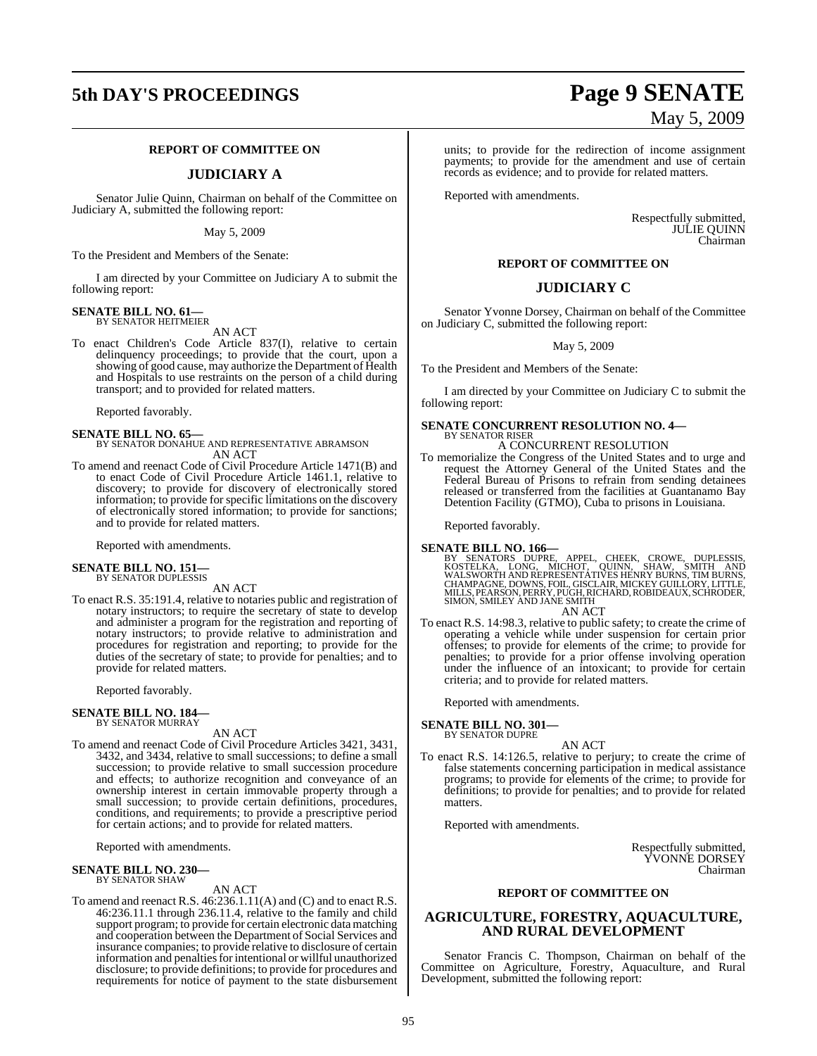# **5th DAY'S PROCEEDINGS Page 9 SENATE**

#### **REPORT OF COMMITTEE ON**

#### **JUDICIARY A**

Senator Julie Quinn, Chairman on behalf of the Committee on Judiciary A, submitted the following report:

May 5, 2009

To the President and Members of the Senate:

I am directed by your Committee on Judiciary A to submit the following report:

#### **SENATE BILL NO. 61—** BY SENATOR HEITMEIER

AN ACT

To enact Children's Code Article 837(I), relative to certain delinquency proceedings; to provide that the court, upon a showing of good cause, may authorize the Department of Health and Hospitals to use restraints on the person of a child during transport; and to provided for related matters.

Reported favorably.

### **SENATE BILL NO. 65—** BY SENATOR DONAHUE AND REPRESENTATIVE ABRAMSON AN ACT

To amend and reenact Code of Civil Procedure Article 1471(B) and to enact Code of Civil Procedure Article 1461.1, relative to discovery; to provide for discovery of electronically stored information; to provide for specific limitations on the discovery of electronically stored information; to provide for sanctions; and to provide for related matters.

Reported with amendments.

## **SENATE BILL NO. 151—** BY SENATOR DUPLESSIS

AN ACT

To enact R.S. 35:191.4, relative to notaries public and registration of notary instructors; to require the secretary of state to develop and administer a program for the registration and reporting of notary instructors; to provide relative to administration and procedures for registration and reporting; to provide for the duties of the secretary of state; to provide for penalties; and to provide for related matters.

Reported favorably.

#### **SENATE BILL NO. 184—** BY SENATOR MURRAY

AN ACT

To amend and reenact Code of Civil Procedure Articles 3421, 3431, 3432, and 3434, relative to small successions; to define a small succession; to provide relative to small succession procedure and effects; to authorize recognition and conveyance of an ownership interest in certain immovable property through a small succession; to provide certain definitions, procedures, conditions, and requirements; to provide a prescriptive period for certain actions; and to provide for related matters.

Reported with amendments.

#### **SENATE BILL NO. 230—** BY SENATOR SHAW

#### AN ACT

To amend and reenact R.S. 46:236.1.11(A) and (C) and to enact R.S. 46:236.11.1 through 236.11.4, relative to the family and child support program; to provide for certain electronic data matching and cooperation between the Department of Social Services and insurance companies; to provide relative to disclosure of certain information and penalties for intentional or willful unauthorized disclosure; to provide definitions; to provide for procedures and requirements for notice of payment to the state disbursement

# May 5, 2009

units; to provide for the redirection of income assignment payments; to provide for the amendment and use of certain records as evidence; and to provide for related matters.

Reported with amendments.

Respectfully submitted, **JULIE QUINN** Chairman

#### **REPORT OF COMMITTEE ON**

#### **JUDICIARY C**

Senator Yvonne Dorsey, Chairman on behalf of the Committee on Judiciary C, submitted the following report:

#### May 5, 2009

To the President and Members of the Senate:

I am directed by your Committee on Judiciary C to submit the following report:

#### **SENATE CONCURRENT RESOLUTION NO. 4—** BY SENATOR RISER A CONCURRENT RESOLUTION

To memorialize the Congress of the United States and to urge and request the Attorney General of the United States and the Federal Bureau of Prisons to refrain from sending detainees released or transferred from the facilities at Guantanamo Bay Detention Facility (GTMO), Cuba to prisons in Louisiana.

Reported favorably.

**SENATE BILL NO. 166—** BY SENATORS DUPRE, APPEL, CHEEK, CROWE, DUPLESSIS,<br>KOSTELKA, LONG, MICHOT, QUINN, SHAW, SMITH AND<br>WALSWORTHAND.REPRESENTATIVES.HENRY.BURNS,TIM.BURNS,<br>CHAMPAGNE,DOWNS,FOIL,GISCLAIR,MICKEY.GUILLORY,LITTLE,<br>MILLS,PEARSON,PERR

SIMON, SMILEY AND JANE SMITH AN ACT

To enact R.S. 14:98.3, relative to public safety; to create the crime of operating a vehicle while under suspension for certain prior offenses; to provide for elements of the crime; to provide for penalties; to provide for a prior offense involving operation under the influence of an intoxicant; to provide for certain criteria; and to provide for related matters.

Reported with amendments.

**SENATE BILL NO. 301—** BY SENATOR DUPRE

AN ACT

To enact R.S. 14:126.5, relative to perjury; to create the crime of false statements concerning participation in medical assistance programs; to provide for elements of the crime; to provide for definitions; to provide for penalties; and to provide for related matters.

Reported with amendments.

Respectfully submitted, YVONNE DORSEY Chairman

#### **REPORT OF COMMITTEE ON**

#### **AGRICULTURE, FORESTRY, AQUACULTURE, AND RURAL DEVELOPMENT**

Senator Francis C. Thompson, Chairman on behalf of the Committee on Agriculture, Forestry, Aquaculture, and Rural Development, submitted the following report: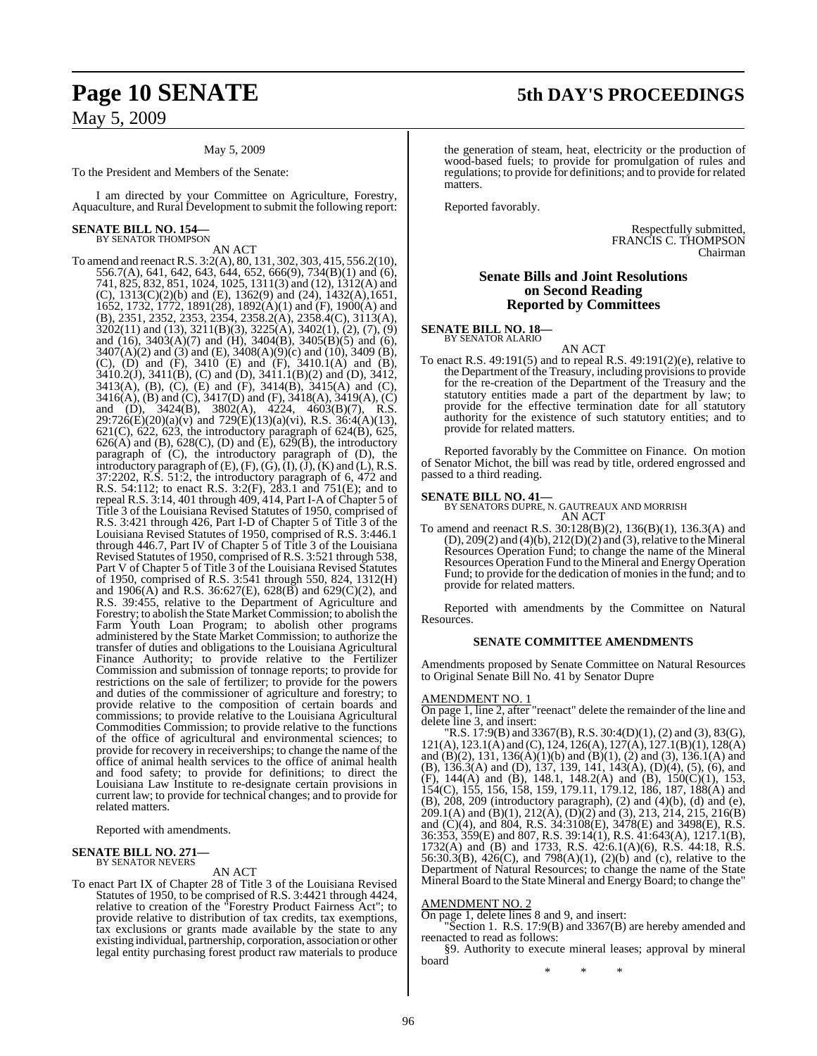#### May 5, 2009

To the President and Members of the Senate:

I am directed by your Committee on Agriculture, Forestry, Aquaculture, and Rural Development to submit the following report:

## **SENATE BILL NO. 154—** BY SENATOR THOMPSON

AN ACT

To amend and reenactR.S. 3:2(A), 80, 131, 302, 303, 415, 556.2(10), 556.7(A), 641, 642, 643, 644, 652, 666(9), 734(B)(1) and (6), 741, 825, 832, 851, 1024, 1025, 1311(3) and (12), 1312(A) and (C), 1313(C)(2)(b) and (E), 1362(9) and (24), 1432(A),1651, 1652, 1732, 1772, 1891(28), 1892(A)(1) and (F), 1900(A) and (B), 2351, 2352, 2353, 2354, 2358.2(A), 2358.4(C), 3113(A),  $3202(11)$  and  $(13)$ ,  $3211(B)(3)$ ,  $3225(A)$ ,  $3402(1)$ ,  $(2)$ ,  $(7)$ ,  $(9)$ and (16), 3403(A)(7) and (H), 3404(B), 3405(B)(5) and (6), 3407(A)(2) and (3) and (E), 3408(A)(9)(c) and (10), 3409 (B), (C), (D) and (F), 3410 (E) and (F), 3410.1(A) and (B),  $3410.2(\text{J})$ ,  $3411(\text{B})$ , (C) and (D),  $3411.1(\text{B})(2)$  and (D),  $3412$ , 3413(A), (B), (C), (E) and (F), 3414(B), 3415(A) and (C), 3416(A), (B) and (C), 3417(D) and (F), 3418(A), 3419(A), (C) and (D), 3424(B), 3802(A), 4224, 4603(B)(7), R.S.  $29:726(E)(20)(a)(v)$  and  $729(E)(13)(a)(vi)$ , R.S.  $36:4(A)(13)$ , 621(C), 622, 623, the introductory paragraph of 624(B), 625, 626(A) and (B), 628(C), (D) and  $\overline{(E)}$ , 629(B), the introductory paragraph of (C), the introductory paragraph of (D), the introductory paragraph of  $(E)$ ,  $(F)$ ,  $(\check{G})$ ,  $(\check{I})$ ,  $(\check{J})$ ,  $(\check{K})$  and  $(\check{L})$ ,  $\check{R}$ . S. 37:2202, R.S. 51:2, the introductory paragraph of 6, 472 and R.S. 54:112; to enact R.S. 3:2(F), 283.1 and 751(E); and to repeal R.S. 3:14, 401 through 409, 414, Part I-A of Chapter 5 of Title 3 of the Louisiana Revised Statutes of 1950, comprised of R.S. 3:421 through 426, Part I-D of Chapter 5 of Title 3 of the Louisiana Revised Statutes of 1950, comprised of R.S. 3:446.1 through 446.7, Part IV of Chapter  $\frac{1}{5}$  of Title 3 of the Louisiana Revised Statutes of 1950, comprised of R.S. 3:521 through 538, Part V of Chapter 5 of Title 3 of the Louisiana Revised Statutes of 1950, comprised of R.S. 3:541 through 550, 824, 1312(H) and 1906(A) and R.S. 36:627(E), 628(B) and 629(C)(2), and R.S. 39:455, relative to the Department of Agriculture and Forestry; to abolish the State Market Commission; to abolish the Farm Youth Loan Program; to abolish other programs administered by the State Market Commission; to authorize the transfer of duties and obligations to the Louisiana Agricultural Finance Authority; to provide relative to the Fertilizer Commission and submission of tonnage reports; to provide for restrictions on the sale of fertilizer; to provide for the powers and duties of the commissioner of agriculture and forestry; to provide relative to the composition of certain boards and commissions; to provide relative to the Louisiana Agricultural Commodities Commission; to provide relative to the functions of the office of agricultural and environmental sciences; to provide for recovery in receiverships; to change the name of the office of animal health services to the office of animal health and food safety; to provide for definitions; to direct the Louisiana Law Institute to re-designate certain provisions in current law; to provide for technical changes; and to provide for related matters.

Reported with amendments.

## **SENATE BILL NO. 271—** BY SENATOR NEVERS

AN ACT

To enact Part IX of Chapter 28 of Title 3 of the Louisiana Revised Statutes of 1950, to be comprised of R.S. 3:4421 through 4424, relative to creation of the "Forestry Product Fairness Act"; to provide relative to distribution of tax credits, tax exemptions, tax exclusions or grants made available by the state to any existing individual, partnership, corporation, association or other legal entity purchasing forest product raw materials to produce

# **Page 10 SENATE 5th DAY'S PROCEEDINGS**

the generation of steam, heat, electricity or the production of wood-based fuels; to provide for promulgation of rules and regulations; to provide for definitions; and to provide for related matters.

Reported favorably.

Respectfully submitted, FRANCIS C. THOMPSON Chairman

#### **Senate Bills and Joint Resolutions on Second Reading Reported by Committees**

#### **SENATE BILL NO. 18—** BY SENATOR ALARIO

AN ACT

To enact R.S. 49:191(5) and to repeal R.S. 49:191(2)(e), relative to the Department of the Treasury, including provisionsto provide for the re-creation of the Department of the Treasury and the statutory entities made a part of the department by law; to provide for the effective termination date for all statutory authority for the existence of such statutory entities; and to provide for related matters.

Reported favorably by the Committee on Finance. On motion of Senator Michot, the bill was read by title, ordered engrossed and passed to a third reading.

#### **SENATE BILL NO. 41—**

BY SENATORS DUPRE, N. GAUTREAUX AND MORRISH AN ACT

To amend and reenact R.S. 30:128(B)(2), 136(B)(1), 136.3(A) and  $(D)$ , 209 $(2)$  and  $(4)(b)$ , 212 $(D)(2)$  and  $(3)$ , relative to the Mineral Resources Operation Fund; to change the name of the Mineral Resources Operation Fund to the Mineral and Energy Operation Fund; to provide for the dedication of monies in the fund; and to provide for related matters.

Reported with amendments by the Committee on Natural Resources.

#### **SENATE COMMITTEE AMENDMENTS**

Amendments proposed by Senate Committee on Natural Resources to Original Senate Bill No. 41 by Senator Dupre

#### AMENDMENT NO. 1

On page 1, line 2, after "reenact" delete the remainder of the line and delete line 3, and insert:

"R.S. 17:9(B) and 3367(B), R.S. 30:4(D)(1), (2) and (3), 83(G), 121(A), 123.1(A) and (C), 124, 126(A), 127(A), 127.1(B)(1), 128(A) and (B)(2), 131, 136(A)(1)(b) and (B)(1), (2) and (3), 136.1(A) and (B), 136.3(A) and (D), 137, 139, 141, 143(A), (D)(4), (5), (6), and (F), 144(A) and (B), 148.1, 148.2(A) and (B), 150(C)(1), 153, 154(C), 155, 156, 158, 159, 179.11, 179.12, 186, 187, 188(A) and (B), 208, 209 (introductory paragraph), (2) and (4)(b), (d) and (e),  $209.1(A)$  and  $(B)(1)$ ,  $212(A)$ ,  $(D)(2)$  and  $(3)$ ,  $213$ ,  $214$ ,  $215$ ,  $216(B)$ and (C)(4), and 804, R.S. 34:3108(E), 3478(E) and 3498(E), R.S. 36:353, 359(E) and 807, R.S. 39:14(1), R.S. 41:643(A), 1217.1(B), 1732(A) and (B) and 1733, R.S. 42:6.1(A)(6), R.S. 44:18, R.S. 56:30.3(B),  $426(C)$ , and  $798(A)(1)$ ,  $(2)(b)$  and (c), relative to the Department of Natural Resources; to change the name of the State Mineral Board to the State Mineral and EnergyBoard; to change the"

AMENDMENT NO. 2

On page 1, delete lines 8 and 9, and insert:

"Section 1. R.S. 17:9(B) and 3367(B) are hereby amended and reenacted to read as follows:

§9. Authority to execute mineral leases; approval by mineral board

\* \* \*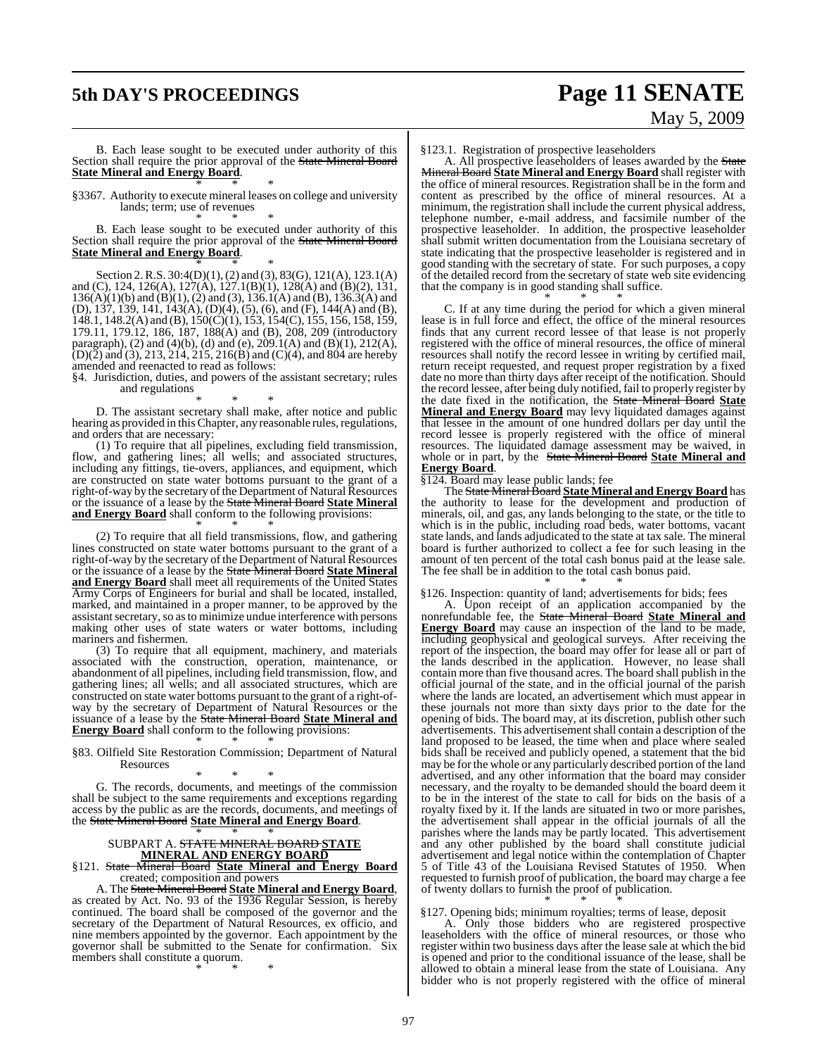# **5th DAY'S PROCEEDINGS Page 11 SENATE** May 5, 2009

B. Each lease sought to be executed under authority of this Section shall require the prior approval of the State Mineral Board **State Mineral and Energy Board**. \* \* \*

§3367. Authority to execute mineral leases on college and university lands; term; use of revenues \* \* \*

B. Each lease sought to be executed under authority of this Section shall require the prior approval of the State Mineral Board **State Mineral and Energy Board**.

\* \* \* Section 2.R.S. 30:4(D)(1),(2) and (3), 83(G), 121(A), 123.1(A) and (C), 124, 126(A), 127(A), 127.1(B)(1), 128(A) and (B)(2), 131,  $136(A)(1)(b)$  and  $(B)(1), (2)$  and  $(3), 136.1(A)$  and  $(B), 136.3(A)$  and (D), 137, 139, 141, 143(A), (D)(4), (5), (6), and (F), 144(A) and (B), 148.1, 148.2(A) and (B), 150(C)(1), 153, 154(C), 155, 156, 158, 159, 179.11, 179.12, 186, 187, 188(A) and (B), 208, 209 (introductory paragraph), (2) and (4)(b), (d) and (e), 209.1(A) and (B)(1), 212(A),  $(D)(2)$  and  $(3)$ , 213, 214, 215, 216(B) and  $(C)(4)$ , and 804 are hereby amended and reenacted to read as follows:

§4. Jurisdiction, duties, and powers of the assistant secretary; rules and regulations

\* \* \* D. The assistant secretary shall make, after notice and public hearing as provided in this Chapter, any reasonable rules, regulations, and orders that are necessary:

(1) To require that all pipelines, excluding field transmission, flow, and gathering lines; all wells; and associated structures, including any fittings, tie-overs, appliances, and equipment, which are constructed on state water bottoms pursuant to the grant of a right-of-way by the secretary of the Department of Natural Resources or the issuance of a lease by the State Mineral Board **State Mineral** and Energy Board shall conform to the following provisions: \* \* \*

(2) To require that all field transmissions, flow, and gathering lines constructed on state water bottoms pursuant to the grant of a right-of-way by the secretary of the Department of Natural Resources or the issuance of a lease by the State Mineral Board **State Mineral and Energy Board** shall meet all requirements of the United States Army Corps of Engineers for burial and shall be located, installed, marked, and maintained in a proper manner, to be approved by the assistant secretary, so as to minimize undue interference with persons making other uses of state waters or water bottoms, including mariners and fishermen.

(3) To require that all equipment, machinery, and materials associated with the construction, operation, maintenance, or abandonment of all pipelines, including field transmission, flow, and gathering lines; all wells; and all associated structures, which are constructed on state water bottoms pursuant to the grant of a right-ofway by the secretary of Department of Natural Resources or the issuance of a lease by the State Mineral Board **State Mineral and Energy Board** shall conform to the following provisions:

\* \* \* §83. Oilfield Site Restoration Commission; Department of Natural Resources

\* \* \* G. The records, documents, and meetings of the commission shall be subject to the same requirements and exceptions regarding access by the public as are the records, documents, and meetings of the State Mineral Board **State Mineral and Energy Board**.

#### \* \* \* SUBPART A. STATE MINERAL BOARD **STATE MINERAL AND ENERGY BOARD**

§121. State Mineral Board **State Mineral and Energy Board** created; composition and powers

A. The State Mineral Board **State Mineral and Energy Board**, as created by Act. No. 93 of the 1936 Regular Session, is hereby continued. The board shall be composed of the governor and the secretary of the Department of Natural Resources, ex officio, and nine members appointed by the governor. Each appointment by the governor shall be submitted to the Senate for confirmation. Six members shall constitute a quorum. \* \* \*

#### §123.1. Registration of prospective leaseholders

A. All prospective leaseholders of leases awarded by the State Mineral Board **State Mineral and Energy Board** shall register with the office of mineral resources. Registration shall be in the form and content as prescribed by the office of mineral resources. At a minimum, the registration shall include the current physical address, telephone number, e-mail address, and facsimile number of the prospective leaseholder. In addition, the prospective leaseholder shall submit written documentation from the Louisiana secretary of state indicating that the prospective leaseholder is registered and in good standing with the secretary of state. For such purposes, a copy of the detailed record from the secretary of state web site evidencing that the company is in good standing shall suffice. \* \* \*

C. If at any time during the period for which a given mineral lease is in full force and effect, the office of the mineral resources finds that any current record lessee of that lease is not properly registered with the office of mineral resources, the office of mineral resources shall notify the record lessee in writing by certified mail, return receipt requested, and request proper registration by a fixed date no more than thirty days after receipt of the notification. Should the record lessee, after being duly notified, fail to properly register by the date fixed in the notification, the State Mineral Board **State Mineral and Energy Board** may levy liquidated damages against that lessee in the amount of one hundred dollars per day until the record lessee is properly registered with the office of mineral resources. The liquidated damage assessment may be waived, in whole or in part, by the State Mineral Board **State Mineral and Energy Board**.

§124. Board may lease public lands; fee

The State Mineral Board **State Mineral and Energy Board** has the authority to lease for the development and production of minerals, oil, and gas, any lands belonging to the state, or the title to which is in the public, including road beds, water bottoms, vacant state lands, and lands adjudicated to the state at tax sale. The mineral board is further authorized to collect a fee for such leasing in the amount of ten percent of the total cash bonus paid at the lease sale. The fee shall be in addition to the total cash bonus paid.

\* \* \* §126. Inspection: quantity of land; advertisements for bids; fees

A. Upon receipt of an application accompanied by the nonrefundable fee, the State Mineral Board **State Mineral and Energy Board** may cause an inspection of the land to be made, including geophysical and geological surveys. After receiving the report of the inspection, the board may offer for lease all or part of the lands described in the application. However, no lease shall contain more than five thousand acres. The board shall publish in the official journal of the state, and in the official journal of the parish where the lands are located, an advertisement which must appear in these journals not more than sixty days prior to the date for the opening of bids. The board may, at its discretion, publish other such advertisements. This advertisement shall contain a description of the land proposed to be leased, the time when and place where sealed bids shall be received and publicly opened, a statement that the bid may be for the whole or any particularly described portion of the land advertised, and any other information that the board may consider necessary, and the royalty to be demanded should the board deem it to be in the interest of the state to call for bids on the basis of a royalty fixed by it. If the lands are situated in two or more parishes, the advertisement shall appear in the official journals of all the parishes where the lands may be partly located. This advertisement and any other published by the board shall constitute judicial advertisement and legal notice within the contemplation of Chapter 5 of Title 43 of the Louisiana Revised Statutes of 1950. When requested to furnish proof of publication, the board may charge a fee of twenty dollars to furnish the proof of publication. \* \* \*

§127. Opening bids; minimum royalties; terms of lease, deposit

A. Only those bidders who are registered prospective leaseholders with the office of mineral resources, or those who register within two business days after the lease sale at which the bid is opened and prior to the conditional issuance of the lease, shall be allowed to obtain a mineral lease from the state of Louisiana. Any bidder who is not properly registered with the office of mineral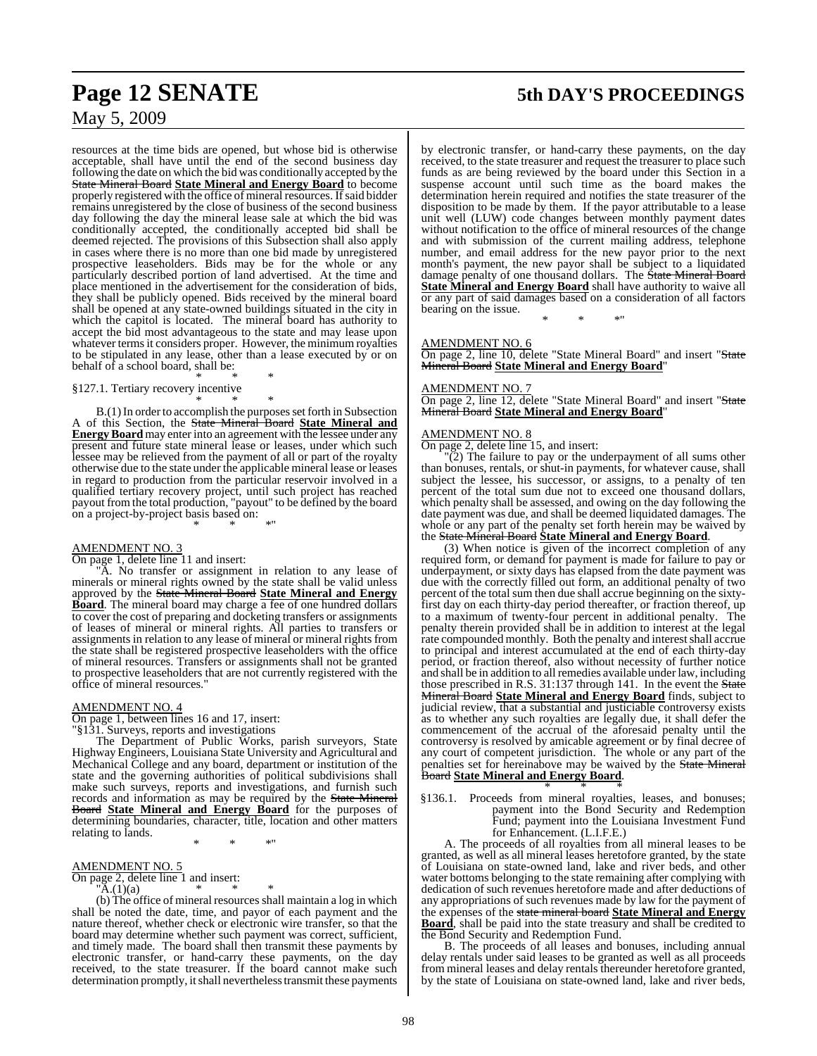#### resources at the time bids are opened, but whose bid is otherwise acceptable, shall have until the end of the second business day following the date on which the bid was conditionally accepted by the State Mineral Board **State Mineral and Energy Board** to become properly registered with the office of mineral resources. If said bidder remains unregistered by the close of business of the second business day following the day the mineral lease sale at which the bid was conditionally accepted, the conditionally accepted bid shall be deemed rejected. The provisions of this Subsection shall also apply in cases where there is no more than one bid made by unregistered prospective leaseholders. Bids may be for the whole or any particularly described portion of land advertised. At the time and place mentioned in the advertisement for the consideration of bids, they shall be publicly opened. Bids received by the mineral board

shall be opened at any state-owned buildings situated in the city in which the capitol is located. The mineral board has authority to accept the bid most advantageous to the state and may lease upon whatever terms it considers proper. However, the minimum royalties to be stipulated in any lease, other than a lease executed by or on behalf of a school board, shall be:

#### \* \* \* §127.1. Tertiary recovery incentive

\* \* \* B.(1) In order to accomplish the purposes set forth in Subsection A of this Section, the State Mineral Board **State Mineral and EnergyBoard** may enter into an agreement with the lessee under any present and future state mineral lease or leases, under which such lessee may be relieved from the payment of all or part of the royalty otherwise due to the state under the applicable mineral lease or leases in regard to production from the particular reservoir involved in a qualified tertiary recovery project, until such project has reached payout from the total production, "payout" to be defined by the board on a project-by-project basis based on: \* \* \*"

#### AMENDMENT NO. 3

On page 1, delete line 11 and insert:

"A. No transfer or assignment in relation to any lease of minerals or mineral rights owned by the state shall be valid unless approved by the State Mineral Board **State Mineral and Energy Board**. The mineral board may charge a fee of one hundred dollars to cover the cost of preparing and docketing transfers or assignments of leases of mineral or mineral rights. All parties to transfers or assignments in relation to any lease of mineral or mineral rights from the state shall be registered prospective leaseholders with the office of mineral resources. Transfers or assignments shall not be granted to prospective leaseholders that are not currently registered with the office of mineral resources."

#### AMENDMENT NO. 4

On page 1, between lines 16 and 17, insert:

"§131. Surveys, reports and investigations

The Department of Public Works, parish surveyors, State Highway Engineers, Louisiana State University and Agricultural and Mechanical College and any board, department or institution of the state and the governing authorities of political subdivisions shall make such surveys, reports and investigations, and furnish such records and information as may be required by the State Mineral Board **State Mineral and Energy Board** for the purposes of determining boundaries, character, title, location and other matters relating to lands.

\* \* \*"

#### AMENDMENT NO. 5

On page 2, delete line 1 and insert:

 ${}^{\shortparallel}$ A.(1)(a) \* \* \*

(b) The office of mineral resources shall maintain a log in which shall be noted the date, time, and payor of each payment and the nature thereof, whether check or electronic wire transfer, so that the board may determine whether such payment was correct, sufficient, and timely made. The board shall then transmit these payments by electronic transfer, or hand-carry these payments, on the day received, to the state treasurer. If the board cannot make such determination promptly, it shall nevertheless transmit these payments

# **Page 12 SENATE 5th DAY'S PROCEEDINGS**

by electronic transfer, or hand-carry these payments, on the day received, to the state treasurer and request the treasurer to place such funds as are being reviewed by the board under this Section in a suspense account until such time as the board makes the determination herein required and notifies the state treasurer of the disposition to be made by them. If the payor attributable to a lease unit well (LUW) code changes between monthly payment dates without notification to the office of mineral resources of the change and with submission of the current mailing address, telephone number, and email address for the new payor prior to the next month's payment, the new payor shall be subject to a liquidated damage penalty of one thousand dollars. The State Mineral Board **State Mineral and Energy Board** shall have authority to waive all or any part of said damages based on a consideration of all factors bearing on the issue.

\* \* \*"

#### AMENDMENT NO. 6

On page 2, line 10, delete "State Mineral Board" and insert "State Mineral Board **State Mineral and Energy Board**"

#### AMENDMENT NO. 7

On page 2, line 12, delete "State Mineral Board" and insert "State Mineral Board **State Mineral and Energy Board**"

#### AMENDMENT NO. 8

On page 2, delete line 15, and insert:

 $\overline{2}$ ) The failure to pay or the underpayment of all sums other than bonuses, rentals, or shut-in payments, for whatever cause, shall subject the lessee, his successor, or assigns, to a penalty of ten percent of the total sum due not to exceed one thousand dollars, which penalty shall be assessed, and owing on the day following the date payment was due, and shall be deemed liquidated damages. The whole or any part of the penalty set forth herein may be waived by the State Mineral Board **State Mineral and Energy Board**.

(3) When notice is given of the incorrect completion of any required form, or demand for payment is made for failure to pay or underpayment, or sixty days has elapsed from the date payment was due with the correctly filled out form, an additional penalty of two percent of the total sum then due shall accrue beginning on the sixtyfirst day on each thirty-day period thereafter, or fraction thereof, up to a maximum of twenty-four percent in additional penalty. The penalty therein provided shall be in addition to interest at the legal rate compounded monthly. Both the penalty and interest shall accrue to principal and interest accumulated at the end of each thirty-day period, or fraction thereof, also without necessity of further notice and shall be in addition to all remedies available under law, including those prescribed in R.S. 31:137 through 141. In the event the State Mineral Board **State Mineral and Energy Board** finds, subject to judicial review, that a substantial and justiciable controversy exists as to whether any such royalties are legally due, it shall defer the commencement of the accrual of the aforesaid penalty until the controversy is resolved by amicable agreement or by final decree of any court of competent jurisdiction. The whole or any part of the penalties set for hereinabove may be waived by the State Mineral Board **State Mineral and Energy Board**.

\* \* \* §136.1. Proceeds from mineral royalties, leases, and bonuses; payment into the Bond Security and Redemption Fund; payment into the Louisiana Investment Fund for Enhancement. (L.I.F.E.)

A. The proceeds of all royalties from all mineral leases to be granted, as well as all mineral leases heretofore granted, by the state of Louisiana on state-owned land, lake and river beds, and other water bottoms belonging to the state remaining after complying with dedication of such revenues heretofore made and after deductions of any appropriations of such revenues made by law for the payment of the expenses of the state mineral board **State Mineral and Energy Board**, shall be paid into the state treasury and shall be credited to the Bond Security and Redemption Fund.

B. The proceeds of all leases and bonuses, including annual delay rentals under said leases to be granted as well as all proceeds from mineral leases and delay rentals thereunder heretofore granted, by the state of Louisiana on state-owned land, lake and river beds,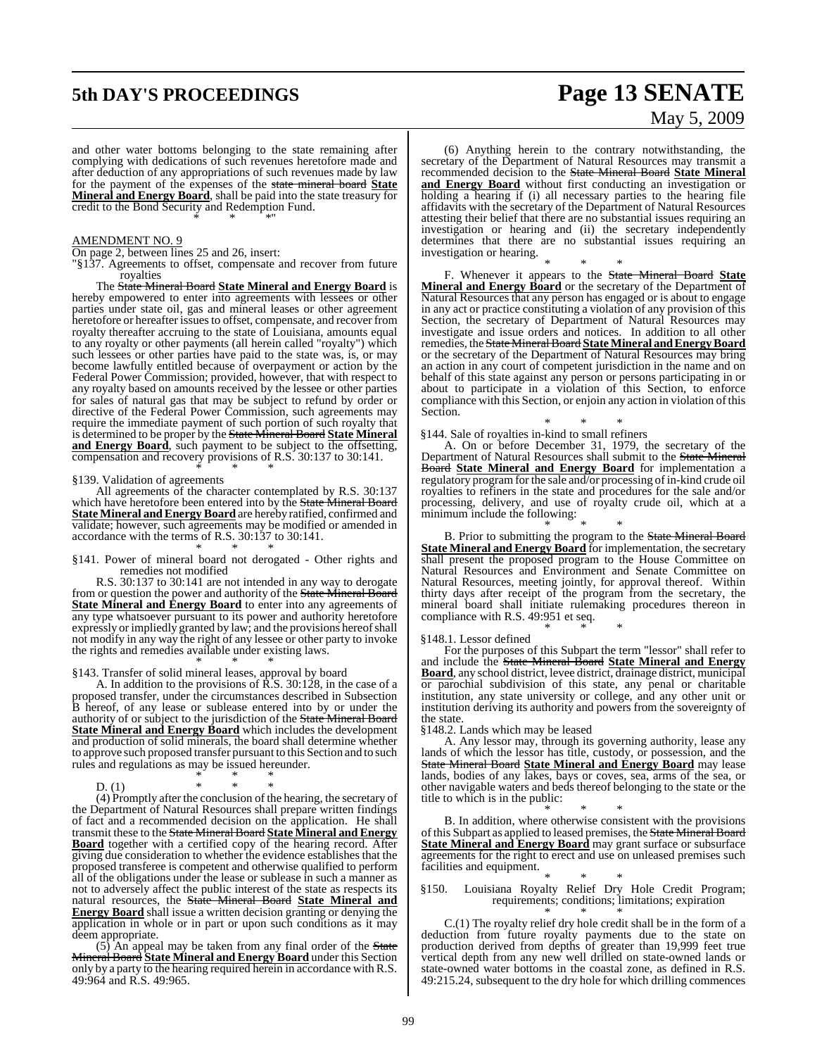# **5th DAY'S PROCEEDINGS Page 13 SENATE** May 5, 2009

and other water bottoms belonging to the state remaining after complying with dedications of such revenues heretofore made and after deduction of any appropriations of such revenues made by law for the payment of the expenses of the state mineral board **State Mineral and Energy Board**, shall be paid into the state treasury for credit to the Bond Security and Redemption Fund. \* \* \*"

#### AMENDMENT NO. 9

- On page 2, between lines 25 and 26, insert:
- "§137. Agreements to offset, compensate and recover from future royalties

The State Mineral Board **State Mineral and Energy Board** is hereby empowered to enter into agreements with lessees or other parties under state oil, gas and mineral leases or other agreement heretofore or hereafter issues to offset, compensate, and recover from royalty thereafter accruing to the state of Louisiana, amounts equal to any royalty or other payments (all herein called "royalty") which such lessees or other parties have paid to the state was, is, or may become lawfully entitled because of overpayment or action by the Federal Power Commission; provided, however, that with respect to any royalty based on amounts received by the lessee or other parties for sales of natural gas that may be subject to refund by order or directive of the Federal Power Commission, such agreements may require the immediate payment of such portion of such royalty that is determined to be proper by the State Mineral Board **State Mineral** and **Energy Board**, such payment to be subject to the offsetting, compensation and recovery provisions of R.S. 30:137 to 30:141. \* \* \*

#### §139. Validation of agreements

All agreements of the character contemplated by R.S. 30:137 which have heretofore been entered into by the State Mineral Board **State Mineral andEnergy Board** are hereby ratified, confirmed and validate; however, such agreements may be modified or amended in accordance with the terms of R.S. 30:137 to 30:141. \* \* \*

§141. Power of mineral board not derogated - Other rights and remedies not modified

R.S. 30:137 to 30:141 are not intended in any way to derogate from or question the power and authority of the State Mineral Board **State Mineral and Energy Board** to enter into any agreements of any type whatsoever pursuant to its power and authority heretofore expressly or impliedly granted by law; and the provisions hereofshall not modify in any way the right of any lessee or other party to invoke the rights and remedies available under existing laws.

#### \* \* \* §143. Transfer of solid mineral leases, approval by board

A. In addition to the provisions of R.S. 30:128, in the case of a proposed transfer, under the circumstances described in Subsection B hereof, of any lease or sublease entered into by or under the authority of or subject to the jurisdiction of the State Mineral Board **State Mineral and Energy Board** which includes the development and production of solid minerals, the board shall determine whether to approve such proposed transfer pursuant to this Section and to such rules and regulations as may be issued hereunder.

\* \* \* D. (1)  $* * * * * *$ 

(4) Promptly after the conclusion of the hearing, the secretary of the Department of Natural Resources shall prepare written findings of fact and a recommended decision on the application. He shall transmit these to the State Mineral Board **State Mineral and Energy Board** together with a certified copy of the hearing record. After giving due consideration to whether the evidence establishes that the proposed transferee is competent and otherwise qualified to perform all of the obligations under the lease or sublease in such a manner as not to adversely affect the public interest of the state as respects its natural resources, the State Mineral Board **State Mineral and Energy Board** shall issue a written decision granting or denying the application in whole or in part or upon such conditions as it may deem appropriate.

 $(5)$  An appeal may be taken from any final order of the State Mineral Board **State Mineral and Energy Board** under this Section only by a party to the hearing required herein in accordance with R.S. 49:964 and R.S. 49:965.

(6) Anything herein to the contrary notwithstanding, the secretary of the Department of Natural Resources may transmit a recommended decision to the State Mineral Board **State Mineral and Energy Board** without first conducting an investigation or holding a hearing if (i) all necessary parties to the hearing file affidavits with the secretary of the Department of Natural Resources attesting their belief that there are no substantial issues requiring an investigation or hearing and (ii) the secretary independently determines that there are no substantial issues requiring an investigation or hearing.

\* \* \* F. Whenever it appears to the State Mineral Board **State Mineral and Energy Board** or the secretary of the Department of Natural Resources that any person has engaged or is about to engage in any act or practice constituting a violation of any provision of this Section, the secretary of Department of Natural Resources may investigate and issue orders and notices. In addition to all other remedies, the StateMineralBoard **StateMineral andEnergyBoard** or the secretary of the Department of Natural Resources may bring an action in any court of competent jurisdiction in the name and on behalf of this state against any person or persons participating in or about to participate in a violation of this Section, to enforce compliance with this Section, or enjoin any action in violation of this Section.

#### \* \* \* §144. Sale of royalties in-kind to small refiners

A. On or before December 31, 1979, the secretary of the Department of Natural Resources shall submit to the State Mineral Board **State Mineral and Energy Board** for implementation a regulatory program for the sale and/or processing of in-kind crude oil royalties to refiners in the state and procedures for the sale and/or processing, delivery, and use of royalty crude oil, which at a minimum include the following:

\* \* \* B. Prior to submitting the program to the State Mineral Board **State Mineral and Energy Board** for implementation, the secretary shall present the proposed program to the House Committee on Natural Resources and Environment and Senate Committee on Natural Resources, meeting jointly, for approval thereof. Within thirty days after receipt of the program from the secretary, the mineral board shall initiate rulemaking procedures thereon in compliance with R.S. 49:951 et seq. \* \* \*

#### §148.1. Lessor defined

For the purposes of this Subpart the term "lessor" shall refer to and include the State Mineral Board **State Mineral and Energy Board**, any school district, levee district, drainage district, municipal or parochial subdivision of this state, any penal or charitable institution, any state university or college, and any other unit or institution deriving its authority and powers from the sovereignty of the state.

§148.2. Lands which may be leased

A. Any lessor may, through its governing authority, lease any lands of which the lessor has title, custody, or possession, and the State Mineral Board **State Mineral and Energy Board** may lease lands, bodies of any lakes, bays or coves, sea, arms of the sea, or other navigable waters and beds thereof belonging to the state or the title to which is in the public:

\* \* \* B. In addition, where otherwise consistent with the provisions of this Subpart as applied to leased premises, the **State Mineral Board State Mineral and Energy Board** may grant surface or subsurface agreements for the right to erect and use on unleased premises such facilities and equipment.

\* \* \* §150. Louisiana Royalty Relief Dry Hole Credit Program; requirements; conditions; limitations; expiration \* \* \*

C.(1) The royalty relief dry hole credit shall be in the form of a deduction from future royalty payments due to the state on production derived from depths of greater than 19,999 feet true vertical depth from any new well drilled on state-owned lands or state-owned water bottoms in the coastal zone, as defined in R.S. 49:215.24, subsequent to the dry hole for which drilling commences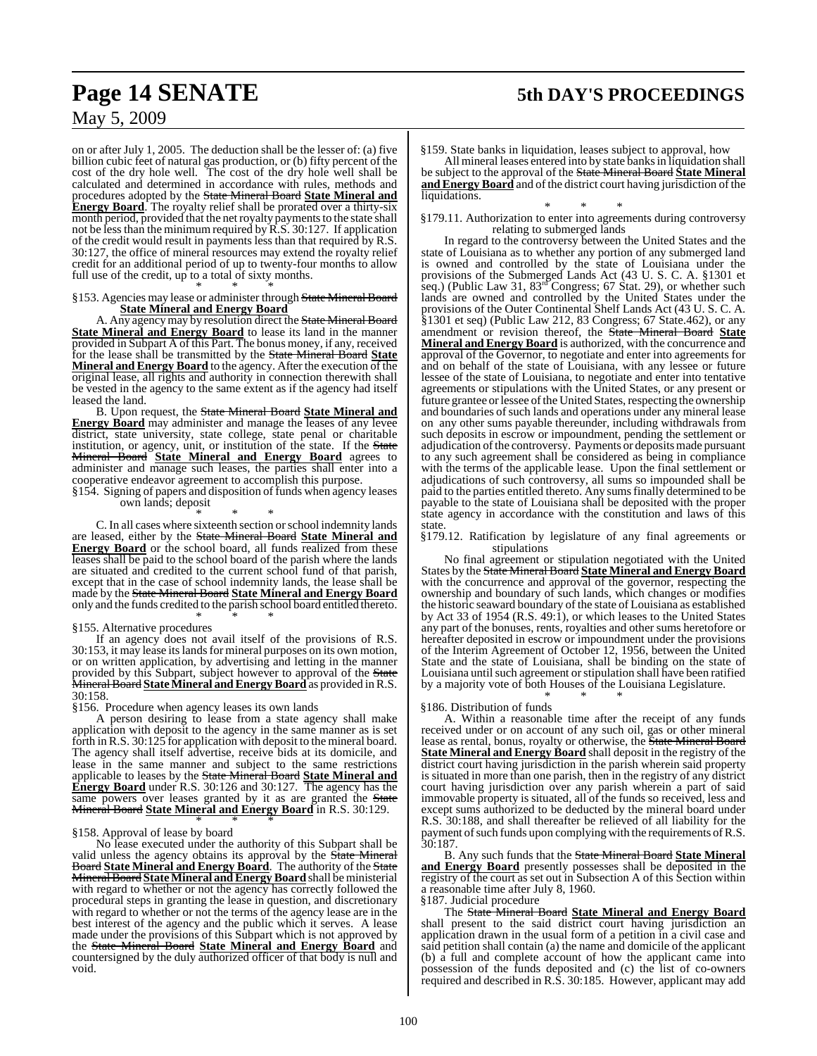# **Page 14 SENATE 5th DAY'S PROCEEDINGS**

## May 5, 2009

on or after July 1, 2005. The deduction shall be the lesser of: (a) five billion cubic feet of natural gas production, or (b) fifty percent of the cost of the dry hole well. The cost of the dry hole well shall be calculated and determined in accordance with rules, methods and procedures adopted by the State Mineral Board **State Mineral and Energy Board**. The royalty relief shall be prorated over a thirty-six month period, provided that the net royalty payments to the state shall not be less than the minimum required by  $\hat{R}$ . S. 30:127. If application of the credit would result in payments less than that required by R.S. 30:127, the office of mineral resources may extend the royalty relief credit for an additional period of up to twenty-four months to allow full use of the credit, up to a total of sixty months.

#### \* \* \* §153. Agencies may lease or administer through State Mineral Board **State Mineral and Energy Board**

A. Any agency may by resolution direct the State Mineral Board **State Mineral and Energy Board** to lease its land in the manner provided in Subpart A of this Part. The bonus money, if any, received for the lease shall be transmitted by the State Mineral Board **State Mineral and Energy Board** to the agency. After the execution of the original lease, all rights and authority in connection therewith shall be vested in the agency to the same extent as if the agency had itself leased the land.

B. Upon request, the State Mineral Board **State Mineral and Energy Board** may administer and manage the leases of any levee district, state university, state college, state penal or charitable institution, or agency, unit, or institution of the state. If the State Mineral Board **State Mineral and Energy Board** agrees to administer and manage such leases, the parties shall enter into a cooperative endeavor agreement to accomplish this purpose.

§154. Signing of papers and disposition of funds when agency leases own lands; deposit

\* \* \*

C. In all cases where sixteenth section orschool indemnity lands are leased, either by the State Mineral Board **State Mineral and Energy Board** or the school board, all funds realized from these leases shall be paid to the school board of the parish where the lands are situated and credited to the current school fund of that parish, except that in the case of school indemnity lands, the lease shall be made by the State Mineral Board **State Mineral and Energy Board** only and the funds credited to the parish school board entitled thereto. \* \* \*

### §155. Alternative procedures

If an agency does not avail itself of the provisions of R.S. 30:153, it may lease itslandsfor mineral purposes on its own motion, or on written application, by advertising and letting in the manner provided by this Subpart, subject however to approval of the State **Mineral Board State Mineral and Energy Board** as provided in R.S. 30:158.

#### §156. Procedure when agency leases its own lands

A person desiring to lease from a state agency shall make application with deposit to the agency in the same manner as is set forth in R.S. 30:125 for application with deposit to the mineral board. The agency shall itself advertise, receive bids at its domicile, and lease in the same manner and subject to the same restrictions applicable to leases by the State Mineral Board **State Mineral and Energy Board** under R.S. 30:126 and 30:127. The agency has the same powers over leases granted by it as are granted the State Mineral Board **State Mineral and Energy Board** in R.S. 30:129. \* \* \*

#### §158. Approval of lease by board

No lease executed under the authority of this Subpart shall be valid unless the agency obtains its approval by the **State Mineral** Board **State Mineral and Energy Board**. The authority of the State MineralBoard **StateMineral andEnergyBoard** shall be ministerial with regard to whether or not the agency has correctly followed the procedural steps in granting the lease in question, and discretionary with regard to whether or not the terms of the agency lease are in the best interest of the agency and the public which it serves. A lease made under the provisions of this Subpart which is not approved by the State Mineral Board **State Mineral and Energy Board** and countersigned by the duly authorized officer of that body is null and void.

§159. State banks in liquidation, leases subject to approval, how

All mineral leases entered into by state banksin liquidation shall be subject to the approval of the State Mineral Board **State Mineral and Energy Board** and of the district court having jurisdiction of the liquidations.

\* \* \* §179.11. Authorization to enter into agreements during controversy relating to submerged lands

In regard to the controversy between the United States and the state of Louisiana as to whether any portion of any submerged land is owned and controlled by the state of Louisiana under the provisions of the Submerged Lands Act (43 U. S. C. A. §1301 et seq.) (Public Law 31, 83<sup>rd</sup> Congress; 67 Stat. 29), or whether such lands are owned and controlled by the United States under the provisions of the Outer Continental Shelf Lands Act (43 U. S. C. A. §1301 et seq) (Public Law 212, 83 Congress; 67 State.462), or any amendment or revision thereof, the State Mineral Board **State Mineral and Energy Board** is authorized, with the concurrence and approval of the Governor, to negotiate and enter into agreements for and on behalf of the state of Louisiana, with any lessee or future lessee of the state of Louisiana, to negotiate and enter into tentative agreements or stipulations with the United States, or any present or future grantee or lessee of the United States, respecting the ownership and boundaries of such lands and operations under any mineral lease on any other sums payable thereunder, including withdrawals from such deposits in escrow or impoundment, pending the settlement or adjudication of the controversy. Payments or deposits made pursuant to any such agreement shall be considered as being in compliance with the terms of the applicable lease. Upon the final settlement or adjudications of such controversy, all sums so impounded shall be paid to the parties entitled thereto. Any sumsfinally determined to be payable to the state of Louisiana shall be deposited with the proper state agency in accordance with the constitution and laws of this state.

§179.12. Ratification by legislature of any final agreements or stipulations

No final agreement or stipulation negotiated with the United States by the State Mineral Board **State Mineral and Energy Board** with the concurrence and approval of the governor, respecting the ownership and boundary of such lands, which changes or modifies the historic seaward boundary of the state of Louisiana as established by Act 33 of 1954 (R.S. 49:1), or which leases to the United States any part of the bonuses, rents, royalties and other sums heretofore or hereafter deposited in escrow or impoundment under the provisions of the Interim Agreement of October 12, 1956, between the United State and the state of Louisiana, shall be binding on the state of Louisiana until such agreement or stipulation shall have been ratified by a majority vote of both Houses of the Louisiana Legislature. \* \* \*

#### §186. Distribution of funds

A. Within a reasonable time after the receipt of any funds received under or on account of any such oil, gas or other mineral lease as rental, bonus, royalty or otherwise, the State Mineral Board **State Mineral and Energy Board** shall deposit in the registry of the district court having jurisdiction in the parish wherein said property is situated in more than one parish, then in the registry of any district court having jurisdiction over any parish wherein a part of said immovable property is situated, all of the funds so received, less and except sums authorized to be deducted by the mineral board under R.S. 30:188, and shall thereafter be relieved of all liability for the payment of such funds upon complying with the requirements of R.S. 30:187.

B. Any such funds that the State Mineral Board **State Mineral and Energy Board** presently possesses shall be deposited in the registry of the court as set out in Subsection A of this Section within a reasonable time after July 8, 1960.

§187. Judicial procedure

The State Mineral Board **State Mineral and Energy Board** shall present to the said district court having jurisdiction an application drawn in the usual form of a petition in a civil case and said petition shall contain (a) the name and domicile of the applicant (b) a full and complete account of how the applicant came into possession of the funds deposited and (c) the list of co-owners required and described in R.S. 30:185. However, applicant may add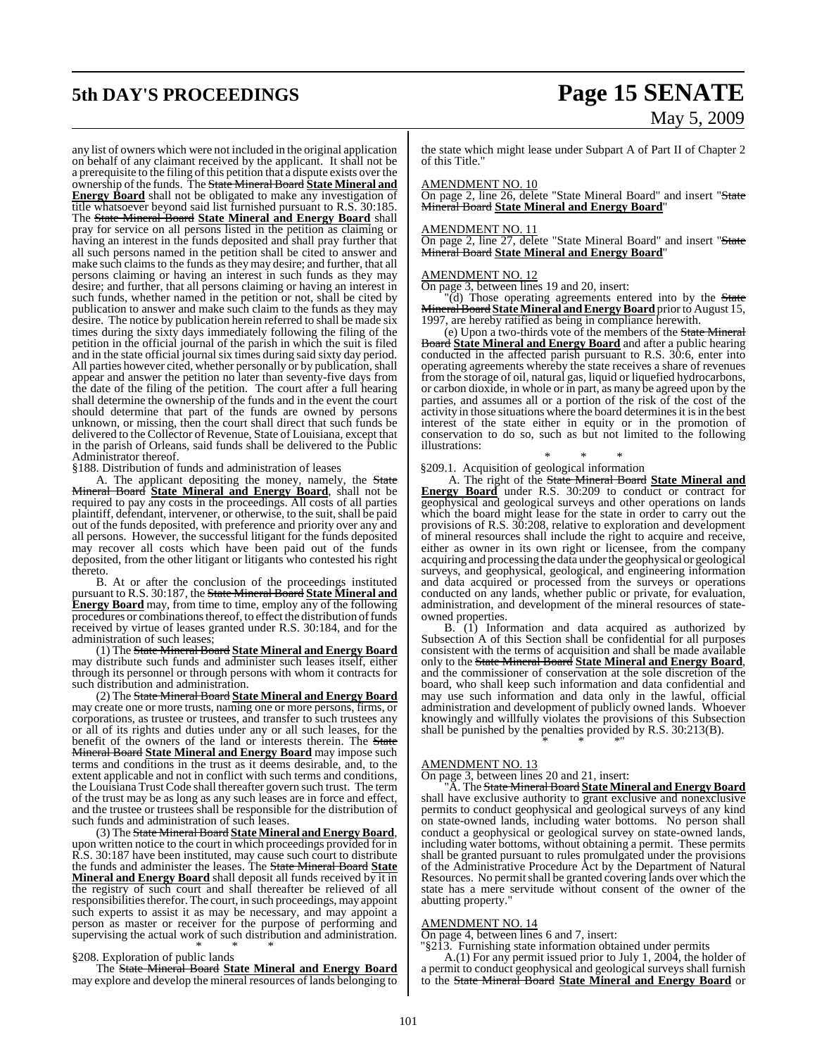any list of owners which were not included in the original application on behalf of any claimant received by the applicant. It shall not be a prerequisite to the filing ofthis petition that a dispute exists over the ownership ofthe funds. The State Mineral Board **State Mineral and Energy Board** shall not be obligated to make any investigation of title whatsoever beyond said list furnished pursuant to R.S. 30:185. The State Mineral Board **State Mineral and Energy Board** shall pray for service on all persons listed in the petition as claiming or having an interest in the funds deposited and shall pray further that all such persons named in the petition shall be cited to answer and make such claims to the funds as they may desire; and further, that all persons claiming or having an interest in such funds as they may desire; and further, that all persons claiming or having an interest in such funds, whether named in the petition or not, shall be cited by publication to answer and make such claim to the funds as they may desire. The notice by publication herein referred to shall be made six times during the sixty days immediately following the filing of the petition in the official journal of the parish in which the suit is filed and in the state official journal six times during said sixty day period. All parties however cited, whether personally or by publication, shall appear and answer the petition no later than seventy-five days from the date of the filing of the petition. The court after a full hearing shall determine the ownership of the funds and in the event the court should determine that part of the funds are owned by persons unknown, or missing, then the court shall direct that such funds be delivered to the Collector of Revenue, State of Louisiana, except that in the parish of Orleans, said funds shall be delivered to the Public Administrator thereof.

§188. Distribution of funds and administration of leases

A. The applicant depositing the money, namely, the State Mineral Board **State Mineral and Energy Board**, shall not be required to pay any costs in the proceedings. All costs of all parties plaintiff, defendant, intervener, or otherwise, to the suit, shall be paid out of the funds deposited, with preference and priority over any and all persons. However, the successful litigant for the funds deposited may recover all costs which have been paid out of the funds deposited, from the other litigant or litigants who contested his right thereto.

B. At or after the conclusion of the proceedings instituted pursuant to R.S. 30:187, the State Mineral Board **State Mineral and Energy Board** may, from time to time, employ any of the following procedures or combinations thereof, to effect the distribution of funds received by virtue of leases granted under R.S. 30:184, and for the administration of such leases;

(1) The State Mineral Board **State Mineral and Energy Board** may distribute such funds and administer such leases itself, either through its personnel or through persons with whom it contracts for such distribution and administration.

(2) The State Mineral Board **State Mineral and Energy Board** may create one or more trusts, naming one or more persons, firms, or corporations, as trustee or trustees, and transfer to such trustees any or all of its rights and duties under any or all such leases, for the benefit of the owners of the land or interests therein. The State Mineral Board **State Mineral and Energy Board** may impose such terms and conditions in the trust as it deems desirable, and, to the extent applicable and not in conflict with such terms and conditions, the Louisiana Trust Code shall thereafter govern such trust. The term of the trust may be as long as any such leases are in force and effect, and the trustee or trustees shall be responsible for the distribution of such funds and administration of such leases.

(3) The State Mineral Board **StateMineral andEnergy Board**, upon written notice to the court in which proceedings provided for in R.S. 30:187 have been instituted, may cause such court to distribute the funds and administer the leases. The State Mineral Board **State Mineral and Energy Board** shall deposit all funds received by it in the registry of such court and shall thereafter be relieved of all responsibilities therefor. The court, in such proceedings, may appoint such experts to assist it as may be necessary, and may appoint a person as master or receiver for the purpose of performing and supervising the actual work of such distribution and administration. \* \* \*

#### §208. Exploration of public lands

The State Mineral Board **State Mineral and Energy Board** may explore and develop the mineral resources of lands belonging to

# **5th DAY'S PROCEEDINGS Page 15 SENATE** May 5, 2009

the state which might lease under Subpart A of Part II of Chapter 2 of this Title."

#### AMENDMENT NO. 10

On page 2, line 26, delete "State Mineral Board" and insert "State Mineral Board **State Mineral and Energy Board**"

#### AMENDMENT NO. 11

On page 2, line 27, delete "State Mineral Board" and insert "State Mineral Board **State Mineral and Energy Board**"

#### AMENDMENT NO. 12

On page 3, between lines 19 and 20, insert:

'(d) Those operating agreements entered into by the State MineralBoard **StateMineral andEnergyBoard** priorto August 15, 1997, are hereby ratified as being in compliance herewith.

(e) Upon a two-thirds vote of the members of the State Mineral Board **State Mineral and Energy Board** and after a public hearing conducted in the affected parish pursuant to R.S. 30:6, enter into operating agreements whereby the state receives a share of revenues from the storage of oil, natural gas, liquid or liquefied hydrocarbons, or carbon dioxide, in whole or in part, as many be agreed upon by the parties, and assumes all or a portion of the risk of the cost of the activity in those situations where the board determines it is in the best interest of the state either in equity or in the promotion of conservation to do so, such as but not limited to the following illustrations:

#### \* \* \*

§209.1. Acquisition of geological information

A. The right of the State Mineral Board **State Mineral and Energy Board** under R.S. 30:209 to conduct or contract for geophysical and geological surveys and other operations on lands which the board might lease for the state in order to carry out the provisions of R.S. 30:208, relative to exploration and development of mineral resources shall include the right to acquire and receive, either as owner in its own right or licensee, from the company acquiring and processing the data under the geophysical or geological surveys, and geophysical, geological, and engineering information and data acquired or processed from the surveys or operations conducted on any lands, whether public or private, for evaluation, administration, and development of the mineral resources of stateowned properties.

B. (1) Information and data acquired as authorized by Subsection A of this Section shall be confidential for all purposes consistent with the terms of acquisition and shall be made available only to the State Mineral Board **State Mineral and Energy Board**, and the commissioner of conservation at the sole discretion of the board, who shall keep such information and data confidential and may use such information and data only in the lawful, official administration and development of publicly owned lands. Whoever knowingly and willfully violates the provisions of this Subsection shall be punished by the penalties provided by R.S. 30:213(B).

#### \* \* \*"

#### AMENDMENT NO. 13

On page 3, between lines 20 and 21, insert:

"A. The State Mineral Board **State Mineral andEnergy Board** shall have exclusive authority to grant exclusive and nonexclusive permits to conduct geophysical and geological surveys of any kind on state-owned lands, including water bottoms. No person shall conduct a geophysical or geological survey on state-owned lands, including water bottoms, without obtaining a permit. These permits shall be granted pursuant to rules promulgated under the provisions of the Administrative Procedure Act by the Department of Natural Resources. No permit shall be granted covering lands over which the state has a mere servitude without consent of the owner of the abutting property."

#### AMENDMENT NO. 14

On page 4, between lines 6 and 7, insert:

"§213. Furnishing state information obtained under permits

A.(1) For any permit issued prior to July 1, 2004, the holder of a permit to conduct geophysical and geological surveys shall furnish to the State Mineral Board **State Mineral and Energy Board** or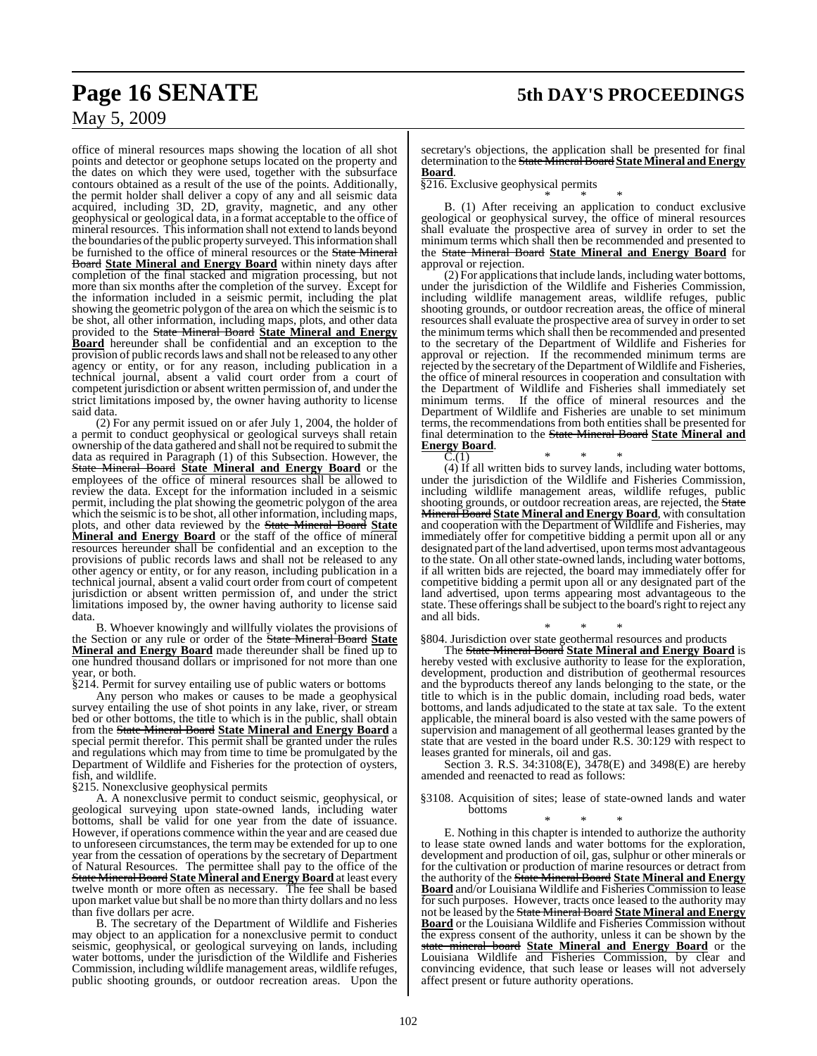office of mineral resources maps showing the location of all shot points and detector or geophone setups located on the property and the dates on which they were used, together with the subsurface contours obtained as a result of the use of the points. Additionally, the permit holder shall deliver a copy of any and all seismic data acquired, including 3D, 2D, gravity, magnetic, and any other geophysical or geological data, in a format acceptable to the office of mineral resources. This information shall not extend to lands beyond the boundaries of the public property surveyed. This information shall be furnished to the office of mineral resources or the State Mineral Board **State Mineral and Energy Board** within ninety days after completion of the final stacked and migration processing, but not more than six months after the completion of the survey. Except for the information included in a seismic permit, including the plat showing the geometric polygon of the area on which the seismic is to be shot, all other information, including maps, plots, and other data provided to the State Mineral Board **State Mineral and Energy Board** hereunder shall be confidential and an exception to the provision of public recordslaws and shall not be released to any other agency or entity, or for any reason, including publication in a technical journal, absent a valid court order from a court of competent jurisdiction or absent written permission of, and under the strict limitations imposed by, the owner having authority to license said data.

(2) For any permit issued on or afer July 1, 2004, the holder of a permit to conduct geophysical or geological surveys shall retain ownership of the data gathered and shall not be required to submit the data as required in Paragraph (1) of this Subsection. However, the State Mineral Board **State Mineral and Energy Board** or the employees of the office of mineral resources shall be allowed to review the data. Except for the information included in a seismic permit, including the plat showing the geometric polygon of the area which the seismic is to be shot, all other information, including maps, plots, and other data reviewed by the State Mineral Board **State Mineral and Energy Board** or the staff of the office of mineral resources hereunder shall be confidential and an exception to the provisions of public records laws and shall not be released to any other agency or entity, or for any reason, including publication in a technical journal, absent a valid court order from court of competent jurisdiction or absent written permission of, and under the strict limitations imposed by, the owner having authority to license said data.

B. Whoever knowingly and willfully violates the provisions of the Section or any rule or order of the State Mineral Board **State Mineral and Energy Board** made thereunder shall be fined up to one hundred thousand dollars or imprisoned for not more than one year, or both.

§214. Permit for survey entailing use of public waters or bottoms

Any person who makes or causes to be made a geophysical survey entailing the use of shot points in any lake, river, or stream bed or other bottoms, the title to which is in the public, shall obtain from the State Mineral Board **State Mineral and Energy Board** a special permit therefor. This permit shall be granted under the rules and regulations which may from time to time be promulgated by the Department of Wildlife and Fisheries for the protection of oysters, fish, and wildlife.

§215. Nonexclusive geophysical permits

A. A nonexclusive permit to conduct seismic, geophysical, or geological surveying upon state-owned lands, including water bottoms, shall be valid for one year from the date of issuance. However, if operations commence within the year and are ceased due to unforeseen circumstances, the term may be extended for up to one year from the cessation of operations by the secretary of Department of Natural Resources. The permittee shall pay to the office of the State Mineral Board **State Mineral andEnergy Board** at least every twelve month or more often as necessary. The fee shall be based upon market value but shall be no more than thirty dollars and no less than five dollars per acre.

B. The secretary of the Department of Wildlife and Fisheries may object to an application for a nonexclusive permit to conduct seismic, geophysical, or geological surveying on lands, including water bottoms, under the jurisdiction of the Wildlife and Fisheries Commission, including wildlife management areas, wildlife refuges, public shooting grounds, or outdoor recreation areas. Upon the

secretary's objections, the application shall be presented for final determination to the State MineralBoard **StateMineral andEnergy Board**.

§216. Exclusive geophysical permits \* \* \*

B. (1) After receiving an application to conduct exclusive geological or geophysical survey, the office of mineral resources shall evaluate the prospective area of survey in order to set the minimum terms which shall then be recommended and presented to the State Mineral Board **State Mineral and Energy Board** for approval or rejection.

(2) For applications that include lands, including water bottoms, under the jurisdiction of the Wildlife and Fisheries Commission, including wildlife management areas, wildlife refuges, public shooting grounds, or outdoor recreation areas, the office of mineral resources shall evaluate the prospective area of survey in order to set the minimum terms which shall then be recommended and presented to the secretary of the Department of Wildlife and Fisheries for approval or rejection. If the recommended minimum terms are rejected by the secretary of the Department of Wildlife and Fisheries, the office of mineral resources in cooperation and consultation with the Department of Wildlife and Fisheries shall immediately set If the office of mineral resources and the Department of Wildlife and Fisheries are unable to set minimum terms, the recommendations from both entities shall be presented for final determination to the State Mineral Board **State Mineral and Energy Board**.

 $C.(1)$  \* \* \* (4) If all written bids to survey lands, including water bottoms, under the jurisdiction of the Wildlife and Fisheries Commission, including wildlife management areas, wildlife refuges, public shooting grounds, or outdoor recreation areas, are rejected, the State Mineral Board **State Mineral andEnergy Board**, with consultation and cooperation with the Department of Wildlife and Fisheries, may immediately offer for competitive bidding a permit upon all or any designated part of the land advertised, upon terms most advantageous to the state. On all other state-owned lands, including water bottoms, if all written bids are rejected, the board may immediately offer for competitive bidding a permit upon all or any designated part of the land advertised, upon terms appearing most advantageous to the state. These offerings shall be subject to the board's right to reject any and all bids.

\* \* \* §804. Jurisdiction over state geothermal resources and products

The State Mineral Board **State Mineral and Energy Board** is hereby vested with exclusive authority to lease for the exploration, development, production and distribution of geothermal resources and the byproducts thereof any lands belonging to the state, or the title to which is in the public domain, including road beds, water bottoms, and lands adjudicated to the state at tax sale. To the extent applicable, the mineral board is also vested with the same powers of supervision and management of all geothermal leases granted by the state that are vested in the board under R.S. 30:129 with respect to leases granted for minerals, oil and gas.

Section 3. R.S. 34:3108(E), 3478(E) and 3498(E) are hereby amended and reenacted to read as follows:

§3108. Acquisition of sites; lease of state-owned lands and water bottoms

\* \* \* E. Nothing in this chapter is intended to authorize the authority to lease state owned lands and water bottoms for the exploration, development and production of oil, gas, sulphur or other minerals or for the cultivation or production of marine resources or detract from the authority of the State Mineral Board **State Mineral and Energy Board** and/or Louisiana Wildlife and Fisheries Commission to lease for such purposes. However, tracts once leased to the authority may not be leased by the State Mineral Board **State Mineral and Energy Board** or the Louisiana Wildlife and Fisheries Commission without the express consent of the authority, unless it can be shown by the state mineral board **State Mineral and Energy Board** or the Louisiana Wildlife and Fisheries Commission, by clear and convincing evidence, that such lease or leases will not adversely affect present or future authority operations.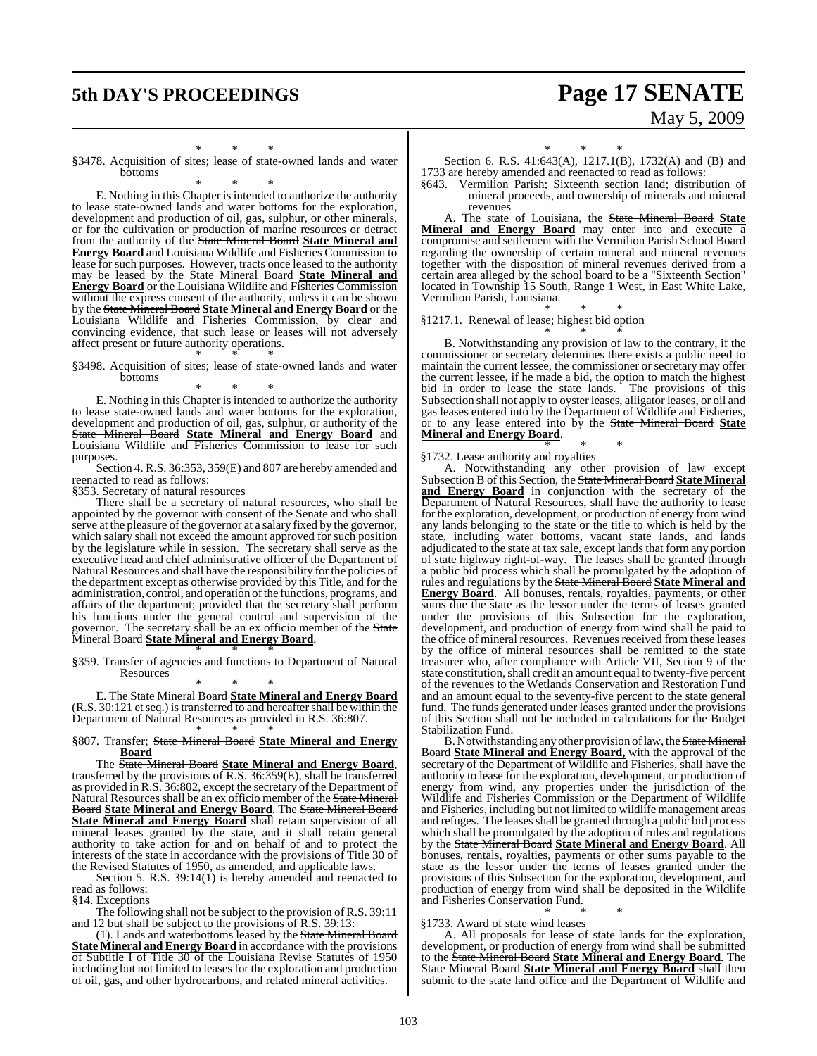# **5th DAY'S PROCEEDINGS Page 17 SENATE** May 5, 2009

\* \* \* §3478. Acquisition of sites; lease of state-owned lands and water bottoms

\* \* \*

E. Nothing in this Chapter is intended to authorize the authority to lease state-owned lands and water bottoms for the exploration, development and production of oil, gas, sulphur, or other minerals, or for the cultivation or production of marine resources or detract from the authority of the State Mineral Board **State Mineral and Energy Board** and Louisiana Wildlife and Fisheries Commission to lease for such purposes. However, tracts once leased to the authority may be leased by the State Mineral Board **State Mineral and Energy Board** or the Louisiana Wildlife and Fisheries Commission without the express consent of the authority, unless it can be shown by the State Mineral Board **State Mineral and Energy Board** or the Louisiana Wildlife and Fisheries Commission, by clear and convincing evidence, that such lease or leases will not adversely affect present or future authority operations. \* \* \*

#### §3498. Acquisition of sites; lease of state-owned lands and water bottoms

\* \* \*

E. Nothing in this Chapter is intended to authorize the authority to lease state-owned lands and water bottoms for the exploration, development and production of oil, gas, sulphur, or authority of the State Mineral Board **State Mineral and Energy Board** and Louisiana Wildlife and Fisheries Commission to lease for such purposes.

Section 4. R.S. 36:353, 359(E) and 807 are hereby amended and reenacted to read as follows:

§353. Secretary of natural resources

There shall be a secretary of natural resources, who shall be appointed by the governor with consent of the Senate and who shall serve at the pleasure of the governor at a salary fixed by the governor, which salary shall not exceed the amount approved for such position by the legislature while in session. The secretary shall serve as the executive head and chief administrative officer of the Department of Natural Resources and shall have the responsibility for the policies of the department except as otherwise provided by this Title, and for the administration, control, and operation of the functions, programs, and affairs of the department; provided that the secretary shall perform his functions under the general control and supervision of the governor. The secretary shall be an ex officio member of the State Mineral Board **State Mineral and Energy Board**.

\* \* \* §359. Transfer of agencies and functions to Department of Natural **Resources** 

\* \* \*

E. The State Mineral Board **State Mineral and Energy Board**  $(R.S. 30:121$  et seq.) is transferred to and hereafter shall be within the Department of Natural Resources as provided in R.S. 36:807. \* \* \*

#### §807. Transfer; State Mineral Board **State Mineral and Energy Board**

The State Mineral Board **State Mineral and Energy Board**, transferred by the provisions of R.S. 36:359(E), shall be transferred as provided in R.S. 36:802, except the secretary of the Department of Natural Resources shall be an ex officio member of the State Mineral Board **State Mineral and Energy Board**. The State Mineral Board **State Mineral and Energy Board** shall retain supervision of all mineral leases granted by the state, and it shall retain general authority to take action for and on behalf of and to protect the interests of the state in accordance with the provisions of Title 30 of the Revised Statutes of 1950, as amended, and applicable laws.

Section 5. R.S. 39:14(1) is hereby amended and reenacted to read as follows:

§14. Exceptions

The following shall not be subject to the provision of R.S. 39:11 and 12 but shall be subject to the provisions of R.S. 39:13:

(1). Lands and waterbottoms leased by the State Mineral Board **State Mineral and Energy Board** in accordance with the provisions of Subtitle I of Title 30 of the Louisiana Revise Statutes of 1950 including but not limited to leases for the exploration and production of oil, gas, and other hydrocarbons, and related mineral activities.

\* \* \*

Section 6. R.S. 41:643(A), 1217.1(B), 1732(A) and (B) and 1733 are hereby amended and reenacted to read as follows:

§643. Vermilion Parish; Sixteenth section land; distribution of mineral proceeds, and ownership of minerals and mineral revenues

A. The state of Louisiana, the State Mineral Board **State Mineral and Energy Board** may enter into and execute a compromise and settlement with the Vermilion Parish School Board regarding the ownership of certain mineral and mineral revenues together with the disposition of mineral revenues derived from a certain area alleged by the school board to be a "Sixteenth Section" located in Township 15 South, Range 1 West, in East White Lake, Vermilion Parish, Louisiana.

\* \* \* §1217.1. Renewal of lease; highest bid option

\* \* \* B. Notwithstanding any provision of law to the contrary, if the commissioner or secretary determines there exists a public need to maintain the current lessee, the commissioner or secretary may offer the current lessee, if he made a bid, the option to match the highest bid in order to lease the state lands. The provisions of this Subsection shall not apply to oyster leases, alligator leases, or oil and gas leases entered into by the Department of Wildlife and Fisheries, or to any lease entered into by the State Mineral Board **State Mineral and Energy Board**.

\* \* \* §1732. Lease authority and royalties

A. Notwithstanding any other provision of law except Subsection B of this Section, the State Mineral Board **State Mineral and Energy Board** in conjunction with the secretary of the Department of Natural Resources, shall have the authority to lease for the exploration, development, or production of energy from wind any lands belonging to the state or the title to which is held by the state, including water bottoms, vacant state lands, and lands adjudicated to the state at tax sale, except lands that form any portion of state highway right-of-way. The leases shall be granted through a public bid process which shall be promulgated by the adoption of rules and regulations by the State Mineral Board **State Mineral and Energy Board**. All bonuses, rentals, royalties, payments, or other sums due the state as the lessor under the terms of leases granted under the provisions of this Subsection for the exploration, development, and production of energy from wind shall be paid to the office of mineral resources. Revenues received from these leases by the office of mineral resources shall be remitted to the state treasurer who, after compliance with Article VII, Section 9 of the state constitution, shall credit an amount equal to twenty-five percent of the revenues to the Wetlands Conservation and Restoration Fund and an amount equal to the seventy-five percent to the state general fund. The funds generated under leases granted under the provisions of this Section shall not be included in calculations for the Budget Stabilization Fund.

B. Notwithstanding any other provision of law, the State Mineral Board **State Mineral and Energy Board,** with the approval of the secretary of the Department of Wildlife and Fisheries, shall have the authority to lease for the exploration, development, or production of energy from wind, any properties under the jurisdiction of the Wildlife and Fisheries Commission or the Department of Wildlife and Fisheries, including but not limited to wildlife management areas and refuges. The leases shall be granted through a public bid process which shall be promulgated by the adoption of rules and regulations by the State Mineral Board **State Mineral and Energy Board**. All bonuses, rentals, royalties, payments or other sums payable to the state as the lessor under the terms of leases granted under the provisions of this Subsection for the exploration, development, and production of energy from wind shall be deposited in the Wildlife and Fisheries Conservation Fund.

\* \* \* §1733. Award of state wind leases

A. All proposals for lease of state lands for the exploration, development, or production of energy from wind shall be submitted to the State Mineral Board **State Mineral and Energy Board**. The State Mineral Board **State Mineral and Energy Board** shall then submit to the state land office and the Department of Wildlife and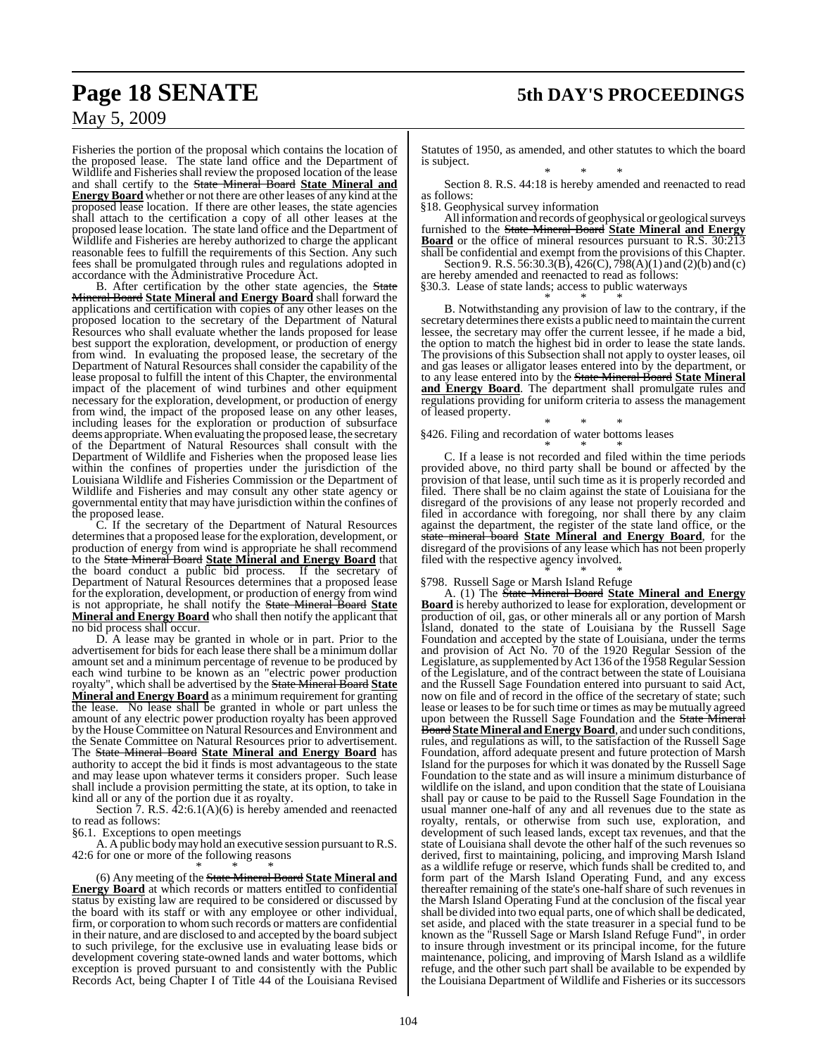Fisheries the portion of the proposal which contains the location of the proposed lease. The state land office and the Department of Wildlife and Fisheries shall review the proposed location of the lease and shall certify to the State Mineral Board **State Mineral and Energy Board** whether or not there are other leases of any kind at the proposed lease location. If there are other leases, the state agencies shall attach to the certification a copy of all other leases at the proposed lease location. The state land office and the Department of Wildlife and Fisheries are hereby authorized to charge the applicant reasonable fees to fulfill the requirements of this Section. Any such fees shall be promulgated through rules and regulations adopted in accordance with the Administrative Procedure Act.

B. After certification by the other state agencies, the State Mineral Board **State Mineral and Energy Board** shall forward the applications and certification with copies of any other leases on the proposed location to the secretary of the Department of Natural Resources who shall evaluate whether the lands proposed for lease best support the exploration, development, or production of energy from wind. In evaluating the proposed lease, the secretary of the Department of Natural Resources shall consider the capability of the lease proposal to fulfill the intent of this Chapter, the environmental impact of the placement of wind turbines and other equipment necessary for the exploration, development, or production of energy from wind, the impact of the proposed lease on any other leases, including leases for the exploration or production of subsurface deems appropriate.When evaluating the proposed lease, the secretary of the Department of Natural Resources shall consult with the Department of Wildlife and Fisheries when the proposed lease lies within the confines of properties under the jurisdiction of the Louisiana Wildlife and Fisheries Commission or the Department of Wildlife and Fisheries and may consult any other state agency or governmental entity that may have jurisdiction within the confines of the proposed lease.

C. If the secretary of the Department of Natural Resources determines that a proposed lease for the exploration, development, or production of energy from wind is appropriate he shall recommend to the State Mineral Board **State Mineral and Energy Board** that the board conduct a public bid process. If the secretary of Department of Natural Resources determines that a proposed lease for the exploration, development, or production of energy from wind is not appropriate, he shall notify the State Mineral Board **State Mineral and Energy Board** who shall then notify the applicant that no bid process shall occur.

D. A lease may be granted in whole or in part. Prior to the advertisement for bids for each lease there shall be a minimum dollar amount set and a minimum percentage of revenue to be produced by each wind turbine to be known as an "electric power production royalty", which shall be advertised by the State Mineral Board **State Mineral and Energy Board** as a minimum requirement for granting the lease. No lease shall be granted in whole or part unless the amount of any electric power production royalty has been approved by the House Committee on Natural Resources and Environment and the Senate Committee on Natural Resources prior to advertisement. The State Mineral Board **State Mineral and Energy Board** has authority to accept the bid it finds is most advantageous to the state and may lease upon whatever terms it considers proper. Such lease shall include a provision permitting the state, at its option, to take in kind all or any of the portion due it as royalty.

Section 7. R.S.  $42:6.1(A)(6)$  is hereby amended and reenacted to read as follows:

§6.1. Exceptions to open meetings

A. A public body may hold an executive session pursuant to R.S. 42:6 for one or more of the following reasons

#### \* \* \*

(6) Any meeting of the State Mineral Board **State Mineral and Energy Board** at which records or matters entitled to confidential status by existing law are required to be considered or discussed by the board with its staff or with any employee or other individual, firm, or corporation to whomsuch records or matters are confidential in their nature, and are disclosed to and accepted by the board subject to such privilege, for the exclusive use in evaluating lease bids or development covering state-owned lands and water bottoms, which exception is proved pursuant to and consistently with the Public Records Act, being Chapter I of Title 44 of the Louisiana Revised

Statutes of 1950, as amended, and other statutes to which the board is subject.

\* \* \* Section 8. R.S. 44:18 is hereby amended and reenacted to read as follows:

§18. Geophysical survey information

All information and records of geophysical or geological surveys furnished to the State Mineral Board **State Mineral and Energy Board** or the office of mineral resources pursuant to R.S. 30:213 shall be confidential and exempt from the provisions of this Chapter.

Section 9. R.S. 56:30.3(B), 426(C), 798(A)(1) and (2)(b) and (c) are hereby amended and reenacted to read as follows:

§30.3. Lease of state lands; access to public waterways

\* \* \* B. Notwithstanding any provision of law to the contrary, if the secretary determines there exists a public need to maintain the current lessee, the secretary may offer the current lessee, if he made a bid, the option to match the highest bid in order to lease the state lands. The provisions of this Subsection shall not apply to oyster leases, oil and gas leases or alligator leases entered into by the department, or to any lease entered into by the State Mineral Board **State Mineral and Energy Board**. The department shall promulgate rules and regulations providing for uniform criteria to assess the management of leased property.

#### \* \* \* §426. Filing and recordation of water bottoms leases

\* \* \* C. If a lease is not recorded and filed within the time periods provided above, no third party shall be bound or affected by the provision of that lease, until such time as it is properly recorded and filed. There shall be no claim against the state of Louisiana for the disregard of the provisions of any lease not properly recorded and filed in accordance with foregoing, nor shall there by any claim against the department, the register of the state land office, or the state mineral board **State Mineral and Energy Board**, for the disregard of the provisions of any lease which has not been properly filed with the respective agency involved. \* \* \*

#### §798. Russell Sage or Marsh Island Refuge

A. (1) The State Mineral Board **State Mineral and Energy Board** is hereby authorized to lease for exploration, development or production of oil, gas, or other minerals all or any portion of Marsh Island, donated to the state of Louisiana by the Russell Sage Foundation and accepted by the state of Louisiana, under the terms and provision of Act No. 70 of the 1920 Regular Session of the Legislature, as supplemented by Act 136 of the 1958 Regular Session of the Legislature, and of the contract between the state of Louisiana and the Russell Sage Foundation entered into pursuant to said Act, now on file and of record in the office of the secretary of state; such lease or leases to be forsuch time or times as may be mutually agreed upon between the Russell Sage Foundation and the State Mineral **Board State Mineral and Energy Board**, and under such conditions, rules, and regulations as will, to the satisfaction of the Russell Sage Foundation, afford adequate present and future protection of Marsh Island for the purposes for which it was donated by the Russell Sage Foundation to the state and as will insure a minimum disturbance of wildlife on the island, and upon condition that the state of Louisiana shall pay or cause to be paid to the Russell Sage Foundation in the usual manner one-half of any and all revenues due to the state as royalty, rentals, or otherwise from such use, exploration, and development of such leased lands, except tax revenues, and that the state of Louisiana shall devote the other half of the such revenues so derived, first to maintaining, policing, and improving Marsh Island as a wildlife refuge or reserve, which funds shall be credited to, and form part of the Marsh Island Operating Fund, and any excess thereafter remaining of the state's one-half share of such revenues in the Marsh Island Operating Fund at the conclusion of the fiscal year shall be divided into two equal parts, one of which shall be dedicated, set aside, and placed with the state treasurer in a special fund to be known as the "Russell Sage or Marsh Island Refuge Fund", in order to insure through investment or its principal income, for the future maintenance, policing, and improving of Marsh Island as a wildlife refuge, and the other such part shall be available to be expended by the Louisiana Department of Wildlife and Fisheries or its successors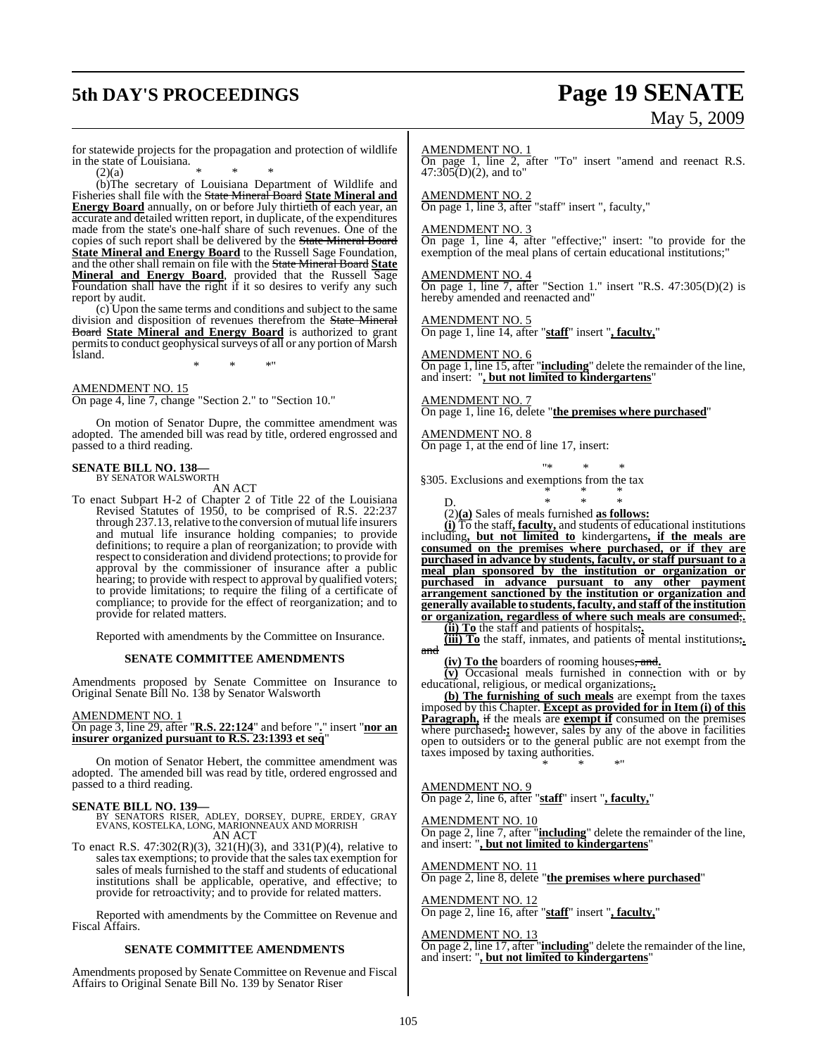# **5th DAY'S PROCEEDINGS Page 19 SENATE**

# May 5, 2009

for statewide projects for the propagation and protection of wildlife in the state of Louisiana.

 $(2)(a)$  \* \* \* (b)The secretary of Louisiana Department of Wildlife and Fisheries shall file with the State Mineral Board **State Mineral and Energy Board** annually, on or before July thirtieth of each year, an accurate and detailed written report, in duplicate, of the expenditures made from the state's one-half share of such revenues. One of the copies of such report shall be delivered by the State Mineral Board **State Mineral and Energy Board** to the Russell Sage Foundation, and the other shall remain on file with the State Mineral Board **State Mineral and Energy Board**, provided that the Russell Sage Foundation shall have the right if it so desires to verify any such report by audit.

(c) Upon the same terms and conditions and subject to the same division and disposition of revenues therefrom the State Mineral Board **State Mineral and Energy Board** is authorized to grant permits to conduct geophysical surveys of all or any portion of Marsh Island.

\* \* \*"

AMENDMENT NO. 15

On page 4, line 7, change "Section 2." to "Section 10."

On motion of Senator Dupre, the committee amendment was adopted. The amended bill was read by title, ordered engrossed and passed to a third reading.

## **SENATE BILL NO. 138—** BY SENATOR WALSWORTH

AN ACT

To enact Subpart H-2 of Chapter 2 of Title 22 of the Louisiana Revised Statutes of 1950, to be comprised of R.S. 22:237 through 237.13, relative to the conversion of mutual life insurers and mutual life insurance holding companies; to provide definitions; to require a plan of reorganization; to provide with respect to consideration and dividend protections; to provide for approval by the commissioner of insurance after a public hearing; to provide with respect to approval by qualified voters; to provide limitations; to require the filing of a certificate of compliance; to provide for the effect of reorganization; and to provide for related matters.

Reported with amendments by the Committee on Insurance.

#### **SENATE COMMITTEE AMENDMENTS**

Amendments proposed by Senate Committee on Insurance to Original Senate Bill No. 138 by Senator Walsworth

#### AMENDMENT NO. 1

On page 3, line 29, after "**R.S. 22:124**" and before "**.**" insert "**nor an insurer organized pursuant to R.S. 23:1393 et seq**"

On motion of Senator Hebert, the committee amendment was adopted. The amended bill was read by title, ordered engrossed and passed to a third reading.

**SENATE BILL NO. 139—** BY SENATORS RISER, ADLEY, DORSEY, DUPRE, ERDEY, GRAY EVANS, KOSTELKA, LONG, MARIONNEAUX AND MORRISH AN ACT

To enact R.S. 47:302(R)(3), 321(H)(3), and 331(P)(4), relative to sales tax exemptions; to provide that the sales tax exemption for sales of meals furnished to the staff and students of educational institutions shall be applicable, operative, and effective; to provide for retroactivity; and to provide for related matters.

Reported with amendments by the Committee on Revenue and Fiscal Affairs.

#### **SENATE COMMITTEE AMENDMENTS**

Amendments proposed by Senate Committee on Revenue and Fiscal Affairs to Original Senate Bill No. 139 by Senator Riser

#### AMENDMENT NO. 1

On page 1, line 2, after "To" insert "amend and reenact R.S.  $47:305(D)(2)$ , and to"

AMENDMENT NO. 2 On page 1, line 3, after "staff" insert ", faculty,"

AMENDMENT NO. 3

On page 1, line 4, after "effective;" insert: "to provide for the exemption of the meal plans of certain educational institutions;"

AMENDMENT NO. 4 On page 1, line 7, after "Section 1." insert "R.S. 47:305(D)(2) is hereby amended and reenacted and"

AMENDMENT NO. 5 On page 1, line 14, after "**staff**" insert "**, faculty,**"

#### AMENDMENT NO. 6

On page 1, line 15, after "**including**" delete the remainder of the line, and insert: "**, but not limited to kindergartens**"

AMENDMENT NO. 7 On page 1, line 16, delete "**the premises where purchased**"

AMENDMENT NO. 8 On page 1, at the end of line 17, insert:

"\* \* \* §305. Exclusions and exemptions from the tax

D. \* \* \* (2)**(a)** Sales of meals furnished **as follows:**

**(i)** To the staff**, faculty,** and students of educational institutions including**, but not limited to** kindergartens**, if the meals are consumed on the premises where purchased, or if they are purchased in advance by students, faculty, or staff pursuant to a meal plan sponsored by the institution or organization or purchased in advance pursuant to any other payment arrangement sanctioned by the institution or organization and generally available to students,faculty, and staff of the institution or organization, regardless of where such meals are consumed**;**.**

\* \* \*

**(ii) To** the staff and patients of hospitals;**.**

**(iii) To** the staff, inmates, and patients of mental institutions;**.** and

**(iv) To the** boarders of rooming houses, and**.**

**(v)** Occasional meals furnished in connection with or by educational, religious, or medical organizations,**.**

**(b) The furnishing of such meals** are exempt from the taxes imposed by this Chapter. **Except as provided for in Item (i) of this Paragraph,** if the meals are **exempt if** consumed on the premises where purchased.**;** however, sales by any of the above in facilities open to outsiders or to the general public are not exempt from the taxes imposed by taxing authorities. \* \* \*"

AMENDMENT NO. 9

On page 2, line 6, after "**staff**" insert "**, faculty,**"

#### AMENDMENT NO. 10

On page 2, line 7, after "**including**" delete the remainder of the line, and insert: "**, but not limited to kindergartens**"

AMENDMENT NO. 11 On page 2, line 8, delete "**the premises where purchased**"

AMENDMENT NO. 12 On page 2, line 16, after "**staff**" insert "**, faculty,**"

AMENDMENT NO. 13

On page 2, line 17, after "**including**" delete the remainder of the line, and insert: "**, but not limited to kindergartens**"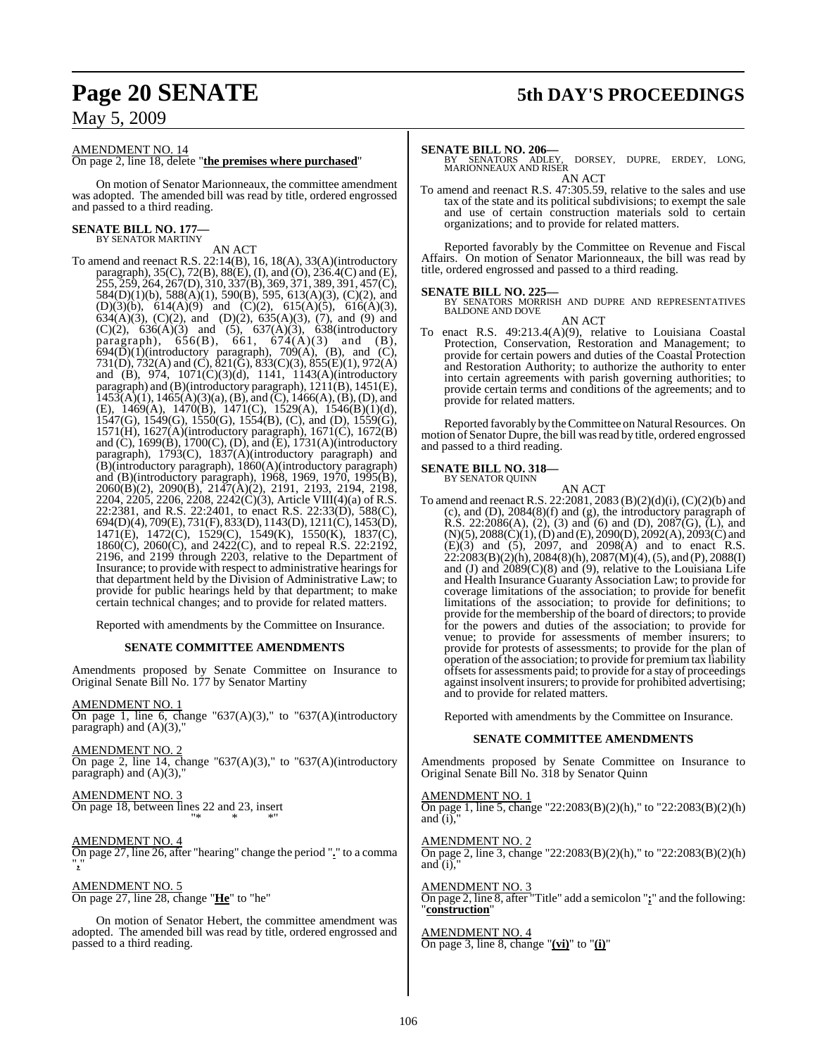# **Page 20 SENATE 5th DAY'S PROCEEDINGS**

## May 5, 2009

AMENDMENT NO. 14

On page 2, line 18, delete "**the premises where purchased**"

On motion of Senator Marionneaux, the committee amendment was adopted. The amended bill was read by title, ordered engrossed and passed to a third reading.

#### **SENATE BILL NO. 177—** BY SENATOR MARTINY

AN ACT

To amend and reenact R.S. 22:14(B), 16, 18(A), 33(A)(introductory paragraph), 35(C), 72(B), 88(E), (I), and (O), 236.4(C) and (E), 255, 259, 264, 267(D), 310, 337(B), 369, 371, 389, 391, 457(C), 584(D)(1)(b), 588(A)(1), 590(B), 595, 613(A)(3), (C)(2), and (D)(3)(b),  $614(A)(9)$  and (C)(2),  $615(A)(5)$ ,  $616(A)(3)$ , 634(A)(3), (C)(2), and (D)(2), 635(A)(3), (7), and (9) and  $(C)(2)$ ,  $636(A)(3)$  and  $(5)$ ,  $637(A)(3)$ ,  $638(introductor)$ paragraph),  $656(B)$ ,  $661$ ,  $674(A)(3)$  and  $(B)$ ,  $694(\overline{D})(1)$ (introductory paragraph), 709(A), (B), and (C), 731(D), 732(A) and (C),  $\overline{821}$ (G),  $\overline{833}$ (C)(3),  $\overline{855}$ (E)(1), 972(A) and (B), 974, 1071(C)(3)(d), 1141, 1143(A)(introductory paragraph) and (B)(introductory paragraph), 1211(B), 1451(E),  $1453(A)(1)$ ,  $1465(A)(3)(a)$ ,  $(B)$ , and  $(C)$ ,  $1466(A)$ ,  $(B)$ ,  $(D)$ , and (E), 1469(A), 1470(B), 1471(C), 1529(A), 1546(B)(1)(d), 1547(G), 1549(G), 1550(G), 1554(B), (C), and (D), 1559(G), 1571(H), 1627(A)(introductory paragraph), 1671(C), 1672(B) and (C), 1699(B), 1700(C), (D), and (E), 1731(A)(introductory paragraph), 1793(C), 1837(A)(introductory paragraph) and (B)(introductory paragraph), 1860(A)(introductory paragraph) and (B)(introductory paragraph), 1968, 1969, 1970, 1995(B), 2060(B)(2), 2090(B), 2147(A)(2), 2191, 2193, 2194, 2198, 2204, 2205, 2206, 2208, 2242(C)(3), Article VIII(4)(a) of R.S. 22:2381, and R.S. 22:2401, to enact R.S. 22:33(D), 588(C), 694(D)(4), 709(E), 731(F), 833(D), 1143(D), 1211(C), 1453(D), 1471(E), 1472(C), 1529(C), 1549(K), 1550(K), 1837(C), 1860(C), 2060(C), and 2422(C), and to repeal R.S. 22:2192, 2196, and 2199 through 2203, relative to the Department of Insurance; to provide with respect to administrative hearings for that department held by the Division of Administrative Law; to provide for public hearings held by that department; to make certain technical changes; and to provide for related matters.

Reported with amendments by the Committee on Insurance.

#### **SENATE COMMITTEE AMENDMENTS**

Amendments proposed by Senate Committee on Insurance to Original Senate Bill No. 177 by Senator Martiny

AMENDMENT NO. 1

On page 1, line 6, change "637(A)(3)," to "637(A)(introductory paragraph) and (A)(3),"

AMENDMENT NO. 2 On page 2, line 14, change "637(A)(3)," to "637(A)(introductory paragraph) and  $(A)(3)$ ,

AMENDMENT NO. 3 On page 18, between lines 22 and 23, insert "\* \* \*"

AMENDMENT NO. 4 On page 27, line 26, after "hearing" change the period "**.**" to a comma "**,**"

AMENDMENT NO. 5 On page 27, line 28, change "**He**" to "he"

On motion of Senator Hebert, the committee amendment was adopted. The amended bill was read by title, ordered engrossed and passed to a third reading.

#### **SENATE BILL NO. 206—**

DORSEY, DUPRE, ERDEY, LONG, MARIONNEAUX AND RISER AN ACT

To amend and reenact R.S. 47:305.59, relative to the sales and use tax of the state and its political subdivisions; to exempt the sale and use of certain construction materials sold to certain organizations; and to provide for related matters.

Reported favorably by the Committee on Revenue and Fiscal Affairs. On motion of Senator Marionneaux, the bill was read by title, ordered engrossed and passed to a third reading.

## **SENATE BILL NO. 225**

BY SENATORS MORRISH AND DUPRE AND REPRESENTATIVES BALDONE AND DOVE AN ACT

To enact R.S. 49:213.4(A)(9), relative to Louisiana Coastal Protection, Conservation, Restoration and Management; to provide for certain powers and duties of the Coastal Protection and Restoration Authority; to authorize the authority to enter into certain agreements with parish governing authorities; to provide certain terms and conditions of the agreements; and to provide for related matters.

Reported favorably by the Committee on Natural Resources. On motion of Senator Dupre, the bill was read by title, ordered engrossed and passed to a third reading.

**SENATE BILL NO. 318—** BY SENATOR QUINN

AN ACT

To amend and reenact R.S. 22:2081, 2083 (B)(2)(d)(i), (C)(2)(b) and (c), and (D), 2084(8)(f) and (g), the introductory paragraph of R.S. 22:2086(A), (2), (3) and (6) and (D), 2087(G), (L), and  $(N)(5)$ ,  $2088(C)(1)$ ,  $(D)$  and  $(E)$ ,  $2090(D)$ ,  $2092(A)$ ,  $2093(C)$  and (E)(3) and (5), 2097, and 2098(A) and to enact R.S. 22:2083(B)(2)(h), 2084(8)(h), 2087(M)(4),(5), and (P), 2088(I) and (J) and 2089(C)(8) and (9), relative to the Louisiana Life and Health Insurance Guaranty Association Law; to provide for coverage limitations of the association; to provide for benefit limitations of the association; to provide for definitions; to provide for the membership of the board of directors; to provide for the powers and duties of the association; to provide for venue; to provide for assessments of member insurers; to provide for protests of assessments; to provide for the plan of operation of the association; to provide for premium tax liability offsets for assessments paid; to provide for a stay of proceedings against insolvent insurers; to provide for prohibited advertising; and to provide for related matters.

Reported with amendments by the Committee on Insurance.

#### **SENATE COMMITTEE AMENDMENTS**

Amendments proposed by Senate Committee on Insurance to Original Senate Bill No. 318 by Senator Quinn

AMENDMENT NO. 1 On page 1, line 5, change "22:2083(B)(2)(h)," to "22:2083(B)(2)(h) and  $(i)$ ,

AMENDMENT NO. 2 On page 2, line 3, change "22:2083(B)(2)(h)," to "22:2083(B)(2)(h) and  $(i)$ ,

AMENDMENT NO. 3 On page 2, line 8, after "Title" add a semicolon "**;**" and the following: "**construction**"

AMENDMENT NO. 4 On page 3, line 8, change "**(vi)**" to "**(i)**"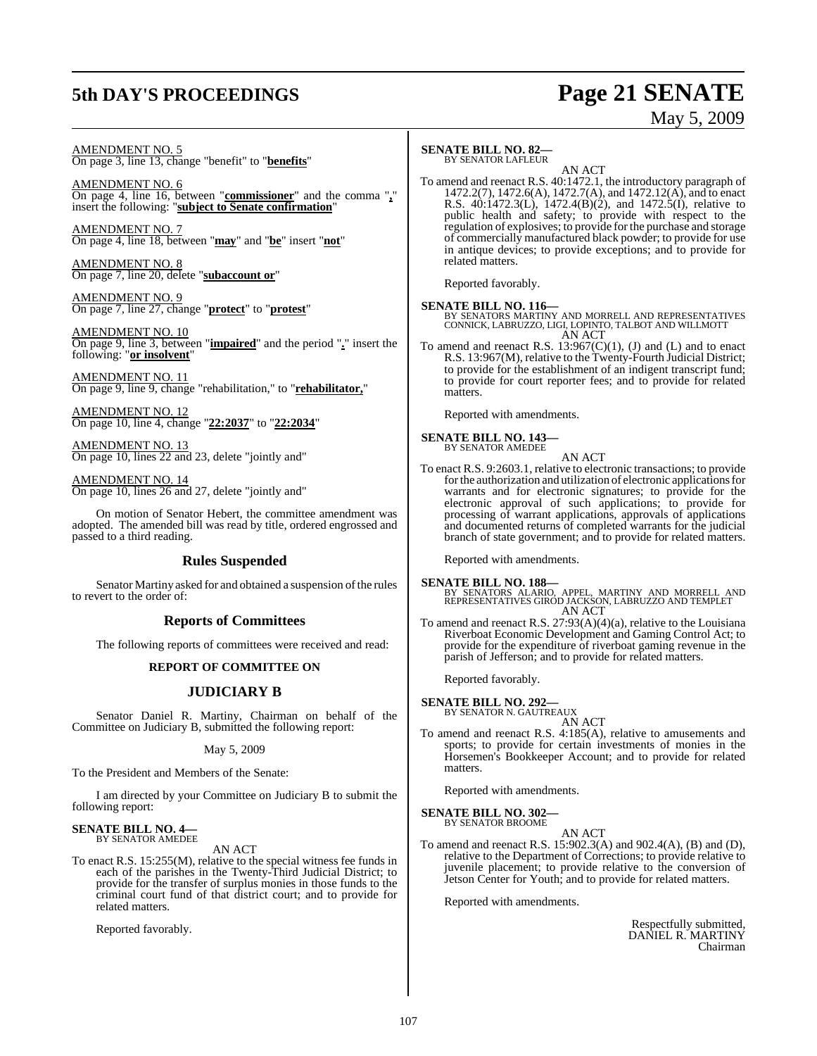# **5th DAY'S PROCEEDINGS Page 21 SENATE**

# May 5, 2009

AMENDMENT NO. 5 On page 3, line 13, change "benefit" to "**benefits**"

AMENDMENT NO. 6 On page 4, line 16, between "**commissioner**" and the comma "**,**" insert the following: "**subject to Senate confirmation**"

AMENDMENT NO. 7 On page 4, line 18, between "**may**" and "**be**" insert "**not**"

AMENDMENT NO. 8 On page 7, line 20, delete "**subaccount or**"

AMENDMENT NO. 9 On page 7, line 27, change "**protect**" to "**protest**"

AMENDMENT NO. 10 On page 9, line 3, between "**impaired**" and the period "**.**" insert the following: "**or insolvent**"

AMENDMENT NO. 11 On page 9, line 9, change "rehabilitation," to "**rehabilitator,**"

AMENDMENT NO. 12 On page 10, line 4, change "**22:2037**" to "**22:2034**"

AMENDMENT NO. 13 On page 10, lines 22 and 23, delete "jointly and"

AMENDMENT NO. 14 On page 10, lines 26 and 27, delete "jointly and"

On motion of Senator Hebert, the committee amendment was adopted. The amended bill was read by title, ordered engrossed and passed to a third reading.

### **Rules Suspended**

Senator Martiny asked for and obtained a suspension of the rules to revert to the order of:

### **Reports of Committees**

The following reports of committees were received and read:

#### **REPORT OF COMMITTEE ON**

### **JUDICIARY B**

Senator Daniel R. Martiny, Chairman on behalf of the Committee on Judiciary B, submitted the following report:

May 5, 2009

To the President and Members of the Senate:

I am directed by your Committee on Judiciary B to submit the following report:

#### **SENATE BILL NO. 4—** BY SENATOR AMEDEE

AN ACT

To enact R.S. 15:255(M), relative to the special witness fee funds in each of the parishes in the Twenty-Third Judicial District; to provide for the transfer of surplus monies in those funds to the criminal court fund of that district court; and to provide for related matters.

Reported favorably.

### **SENATE BILL NO. 82—**

BY SENATOR LAFLEUR

AN ACT To amend and reenact R.S. 40:1472.1, the introductory paragraph of 1472.2(7), 1472.6(A), 1472.7(A), and 1472.12(A), and to enact R.S. 40:1472.3(L), 1472.4(B)(2), and 1472.5(I), relative to public health and safety; to provide with respect to the regulation of explosives; to provide for the purchase and storage of commercially manufactured black powder; to provide for use in antique devices; to provide exceptions; and to provide for related matters.

Reported favorably.

**SENATE BILL NO. 116—**<br>BY SENATORS MARTINY AND MORRELL AND REPRESENTATIVES<br>CONNICK, LABRUZZO, LIGI, LOPINTO, TALBOT AND WILLMOTT<br>AN ACT

To amend and reenact R.S.  $13:967(C)(1)$ , (J) and (L) and to enact To amend and reenact R.S. 13:967(C)(1), (J) and (L) and to enact R.S. 13:967(M), relative to the Twenty-Fourth Judicial District; to provide for the establishment of an indigent transcript fund; to provide for court reporter fees; and to provide for related matters.

Reported with amendments.

# **SENATE BILL NO. 143—** BY SENATOR AMEDEE

AN ACT

To enact R.S. 9:2603.1, relative to electronic transactions; to provide forthe authorization and utilization of electronic applications for warrants and for electronic signatures; to provide for the electronic approval of such applications; to provide for processing of warrant applications, approvals of applications and documented returns of completed warrants for the judicial branch of state government; and to provide for related matters.

Reported with amendments.

**SENATE BILL NO. 188—** BY SENATORS ALARIO, APPEL, MARTINY AND MORRELL AND REPRESENTATIVES GIROD JACKSON, LABRUZZO AND TEMPLET AN ACT

To amend and reenact R.S. 27:93(A)(4)(a), relative to the Louisiana Riverboat Economic Development and Gaming Control Act; to provide for the expenditure of riverboat gaming revenue in the parish of Jefferson; and to provide for related matters.

Reported favorably.

**SENATE BILL NO. 292—** BY SENATOR N. GAUTREAUX

AN ACT

To amend and reenact R.S. 4:185(A), relative to amusements and sports; to provide for certain investments of monies in the Horsemen's Bookkeeper Account; and to provide for related matters.

Reported with amendments.

**SENATE BILL NO. 302—** BY SENATOR BROOME

AN ACT

To amend and reenact R.S. 15:902.3(A) and 902.4(A), (B) and (D), relative to the Department of Corrections; to provide relative to juvenile placement; to provide relative to the conversion of Jetson Center for Youth; and to provide for related matters.

Reported with amendments.

Respectfully submitted, DANIEL R. MARTINY Chairman